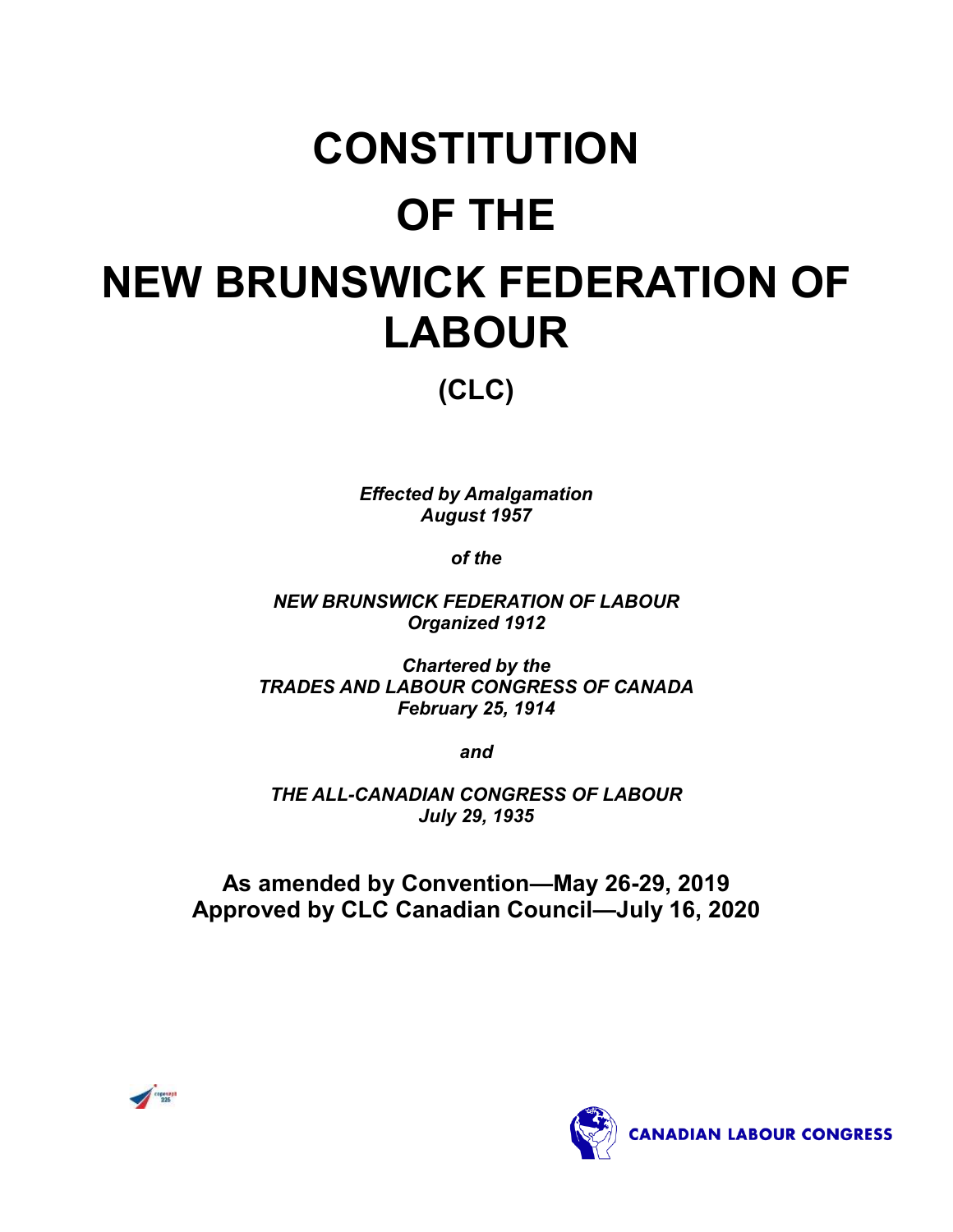# **CONSTITUTION OF THE NEW BRUNSWICK FEDERATION OF LABOUR**

**(CLC)**

*Effected by Amalgamation August 1957*

*of the*

*NEW BRUNSWICK FEDERATION OF LABOUR Organized 1912*

*Chartered by the TRADES AND LABOUR CONGRESS OF CANADA February 25, 1914*

*and*

*THE ALL-CANADIAN CONGRESS OF LABOUR July 29, 1935*

**As amended by Convention—May 26-29, 2019 Approved by CLC Canadian Council—July 16, 2020**



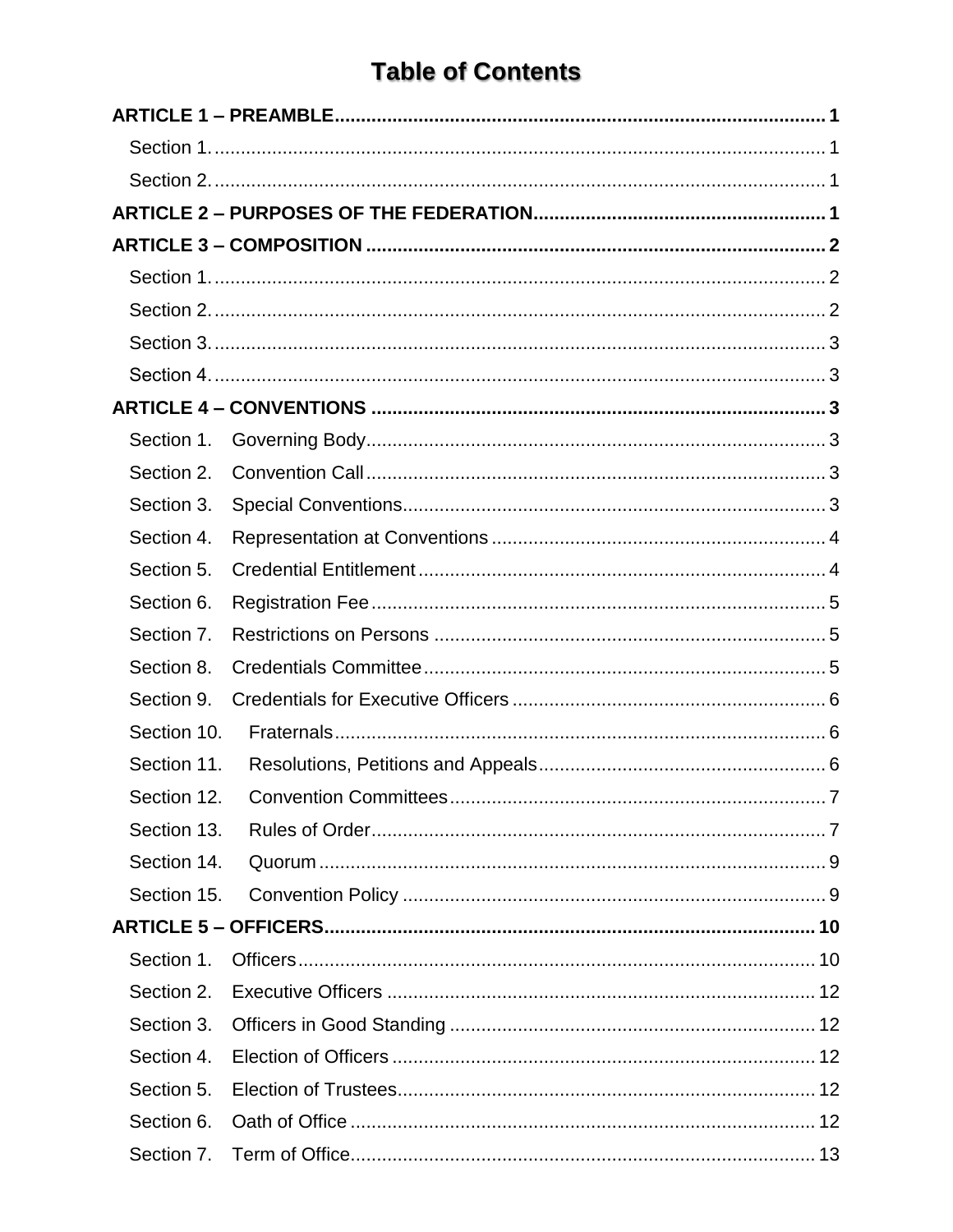## **Table of Contents**

| Section 1.  |                                          |
|-------------|------------------------------------------|
| Section 2.  |                                          |
| Section 3.  |                                          |
| Section 4.  |                                          |
| Section 5.  |                                          |
| Section 6.  |                                          |
| Section 7.  |                                          |
| Section 8.  |                                          |
| Section 9.  |                                          |
| Section 10. |                                          |
| Section 11. |                                          |
|             | Section 12. Convention Committees<br>. 7 |
| Section 13. |                                          |
| Section 14. |                                          |
| Section 15. |                                          |
|             |                                          |
| Section 1.  |                                          |
| Section 2.  |                                          |
| Section 3.  |                                          |
| Section 4.  |                                          |
| Section 5.  |                                          |
| Section 6.  |                                          |
| Section 7.  |                                          |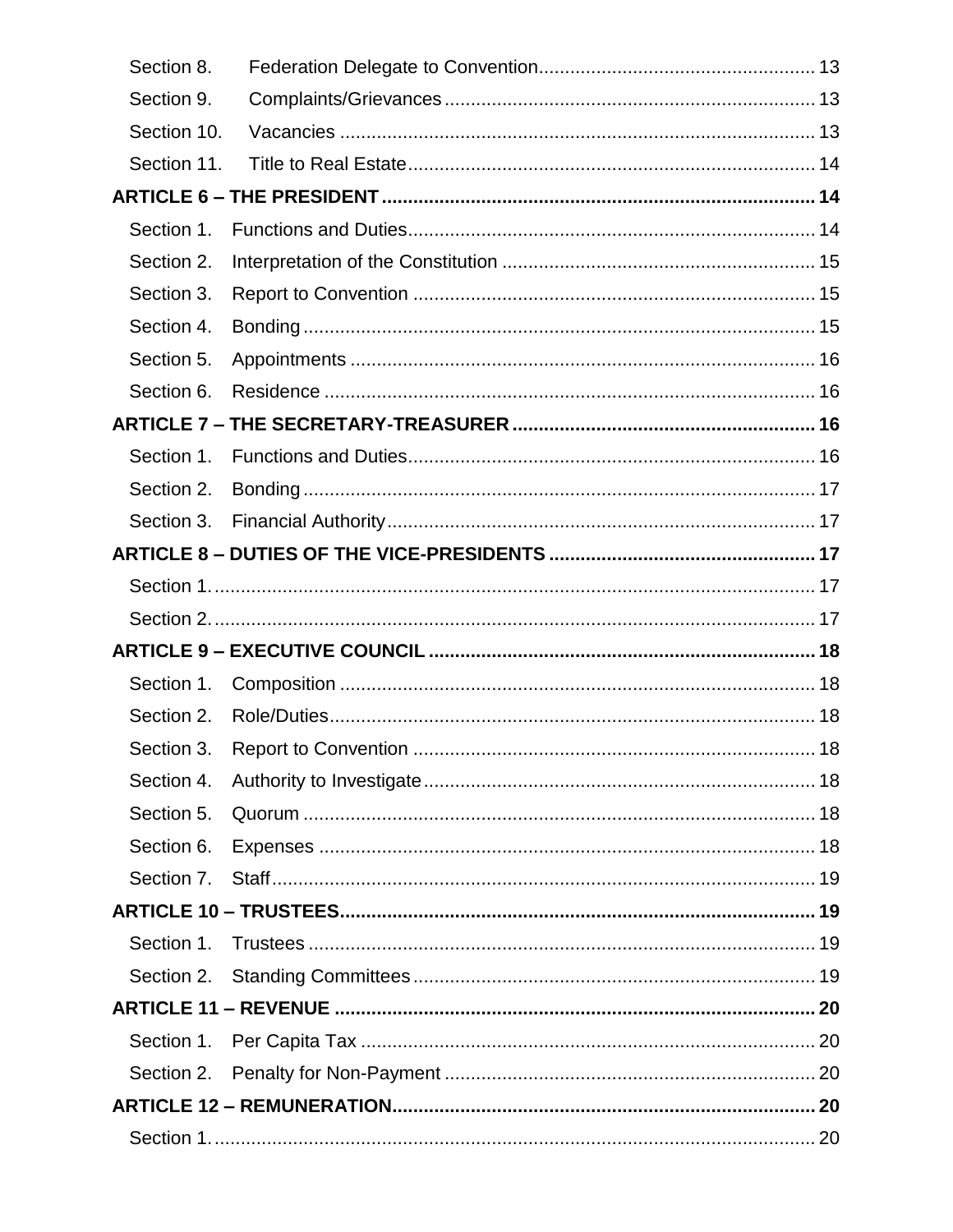| Section 8.  |  |
|-------------|--|
| Section 9.  |  |
| Section 10. |  |
| Section 11. |  |
|             |  |
| Section 1.  |  |
| Section 2.  |  |
| Section 3.  |  |
| Section 4.  |  |
| Section 5.  |  |
| Section 6.  |  |
|             |  |
| Section 1.  |  |
| Section 2.  |  |
| Section 3.  |  |
|             |  |
|             |  |
|             |  |
|             |  |
|             |  |
| Section 1.  |  |
| Section 2.  |  |
|             |  |
| Section 4.  |  |
| Section 5.  |  |
| Section 6.  |  |
| Section 7.  |  |
|             |  |
| Section 1.  |  |
|             |  |
|             |  |
| Section 1.  |  |
| Section 2.  |  |
|             |  |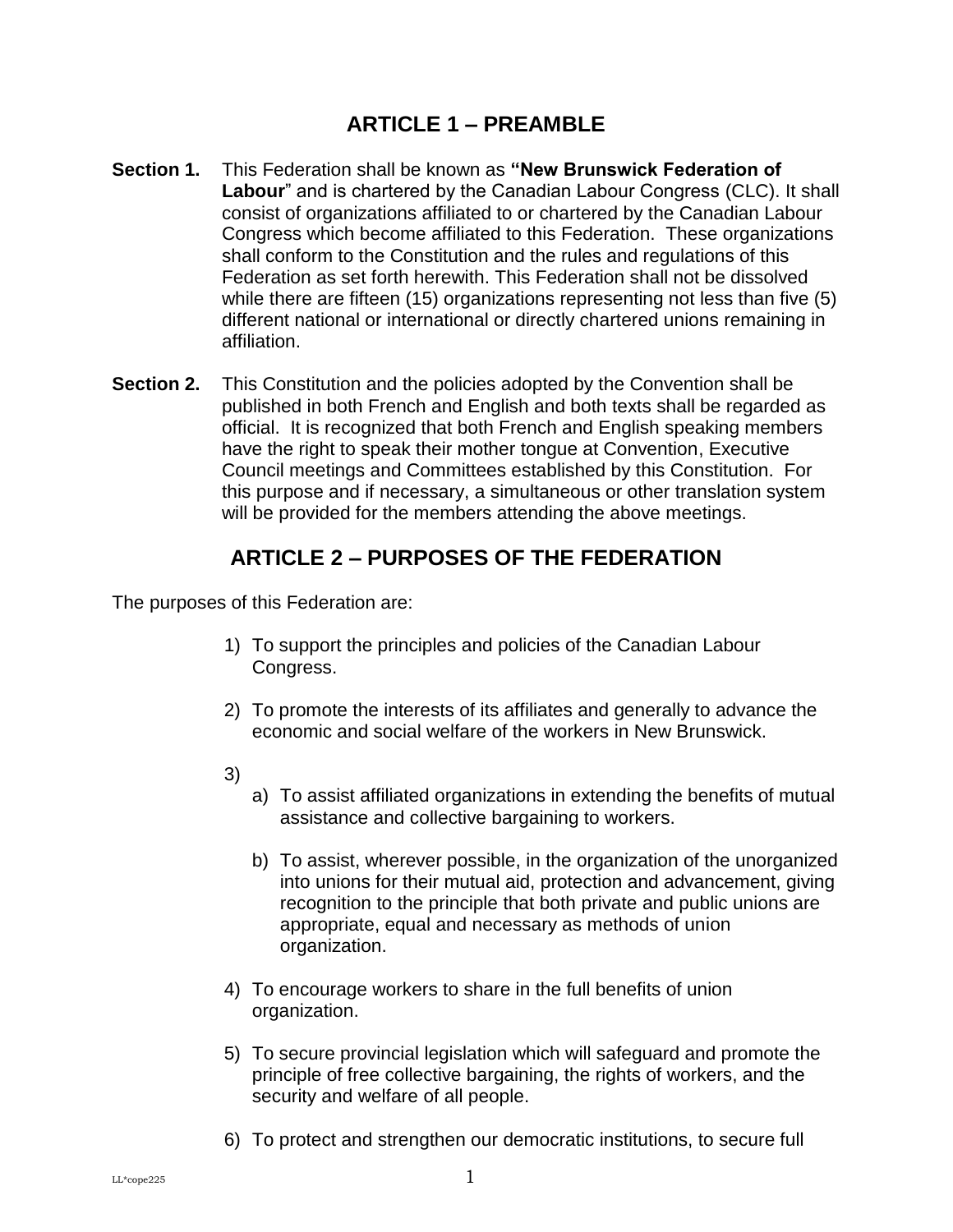## **ARTICLE 1 – PREAMBLE**

- <span id="page-4-1"></span><span id="page-4-0"></span>**Section 1.** This Federation shall be known as **"New Brunswick Federation of Labour**" and is chartered by the Canadian Labour Congress (CLC). It shall consist of organizations affiliated to or chartered by the Canadian Labour Congress which become affiliated to this Federation. These organizations shall conform to the Constitution and the rules and regulations of this Federation as set forth herewith. This Federation shall not be dissolved while there are fifteen (15) organizations representing not less than five (5) different national or international or directly chartered unions remaining in affiliation.
- <span id="page-4-2"></span>**Section 2.** This Constitution and the policies adopted by the Convention shall be published in both French and English and both texts shall be regarded as official. It is recognized that both French and English speaking members have the right to speak their mother tongue at Convention, Executive Council meetings and Committees established by this Constitution. For this purpose and if necessary, a simultaneous or other translation system will be provided for the members attending the above meetings.

## **ARTICLE 2 – PURPOSES OF THE FEDERATION**

<span id="page-4-3"></span>The purposes of this Federation are:

- 1) To support the principles and policies of the Canadian Labour Congress.
- 2) To promote the interests of its affiliates and generally to advance the economic and social welfare of the workers in New Brunswick.
- 3)
- a) To assist affiliated organizations in extending the benefits of mutual assistance and collective bargaining to workers.
- b) To assist, wherever possible, in the organization of the unorganized into unions for their mutual aid, protection and advancement, giving recognition to the principle that both private and public unions are appropriate, equal and necessary as methods of union organization.
- 4) To encourage workers to share in the full benefits of union organization.
- 5) To secure provincial legislation which will safeguard and promote the principle of free collective bargaining, the rights of workers, and the security and welfare of all people.
- 6) To protect and strengthen our democratic institutions, to secure full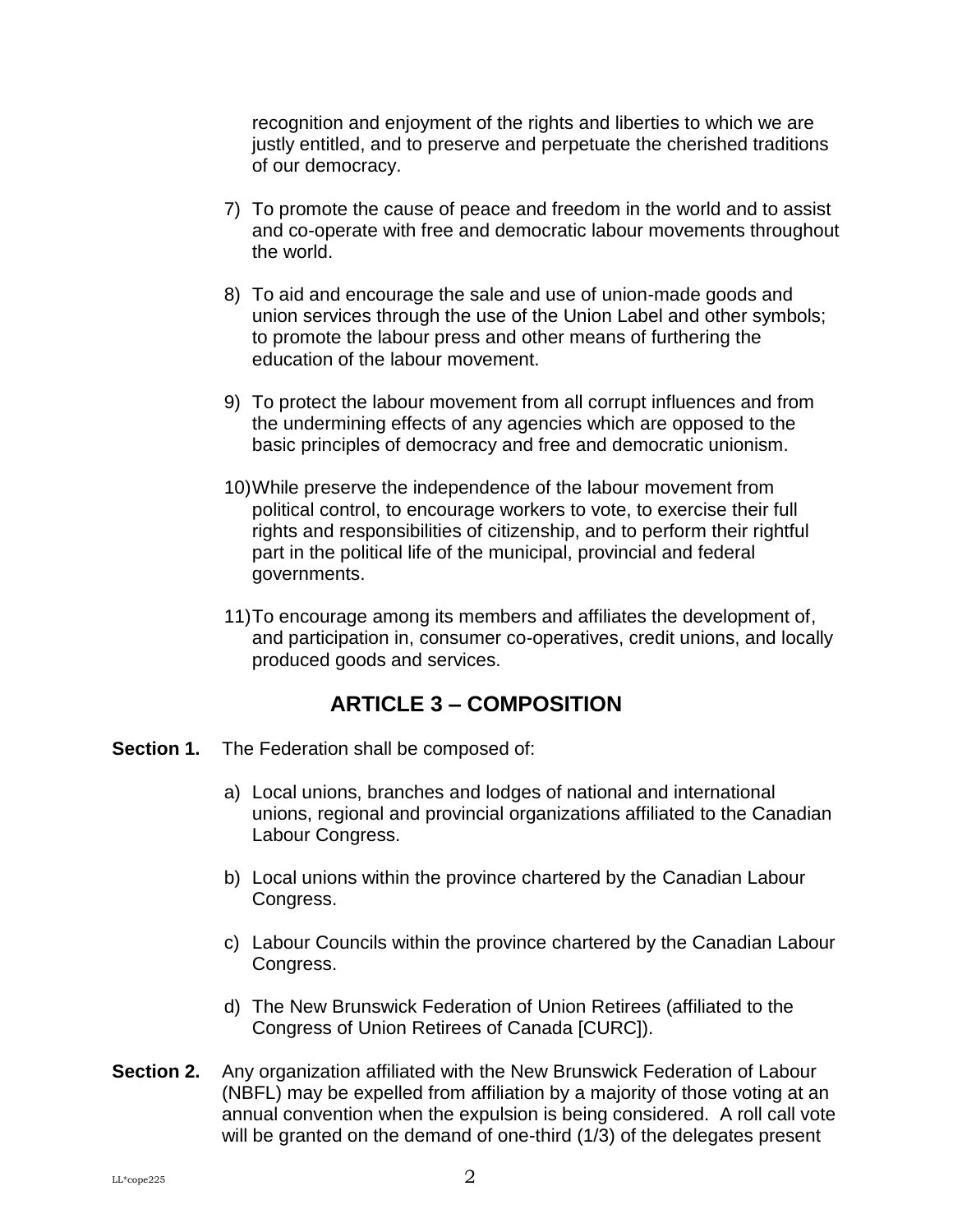recognition and enjoyment of the rights and liberties to which we are justly entitled, and to preserve and perpetuate the cherished traditions of our democracy.

- 7) To promote the cause of peace and freedom in the world and to assist and co-operate with free and democratic labour movements throughout the world.
- 8) To aid and encourage the sale and use of union-made goods and union services through the use of the Union Label and other symbols; to promote the labour press and other means of furthering the education of the labour movement.
- 9) To protect the labour movement from all corrupt influences and from the undermining effects of any agencies which are opposed to the basic principles of democracy and free and democratic unionism.
- 10)While preserve the independence of the labour movement from political control, to encourage workers to vote, to exercise their full rights and responsibilities of citizenship, and to perform their rightful part in the political life of the municipal, provincial and federal governments.
- 11)To encourage among its members and affiliates the development of, and participation in, consumer co-operatives, credit unions, and locally produced goods and services.

## **ARTICLE 3 – COMPOSITION**

- <span id="page-5-1"></span><span id="page-5-0"></span>**Section 1.** The Federation shall be composed of:
	- a) Local unions, branches and lodges of national and international unions, regional and provincial organizations affiliated to the Canadian Labour Congress.
	- b) Local unions within the province chartered by the Canadian Labour Congress.
	- c) Labour Councils within the province chartered by the Canadian Labour Congress.
	- d) The New Brunswick Federation of Union Retirees (affiliated to the Congress of Union Retirees of Canada [CURC]).
- <span id="page-5-2"></span>**Section 2.** Any organization affiliated with the New Brunswick Federation of Labour (NBFL) may be expelled from affiliation by a majority of those voting at an annual convention when the expulsion is being considered. A roll call vote will be granted on the demand of one-third (1/3) of the delegates present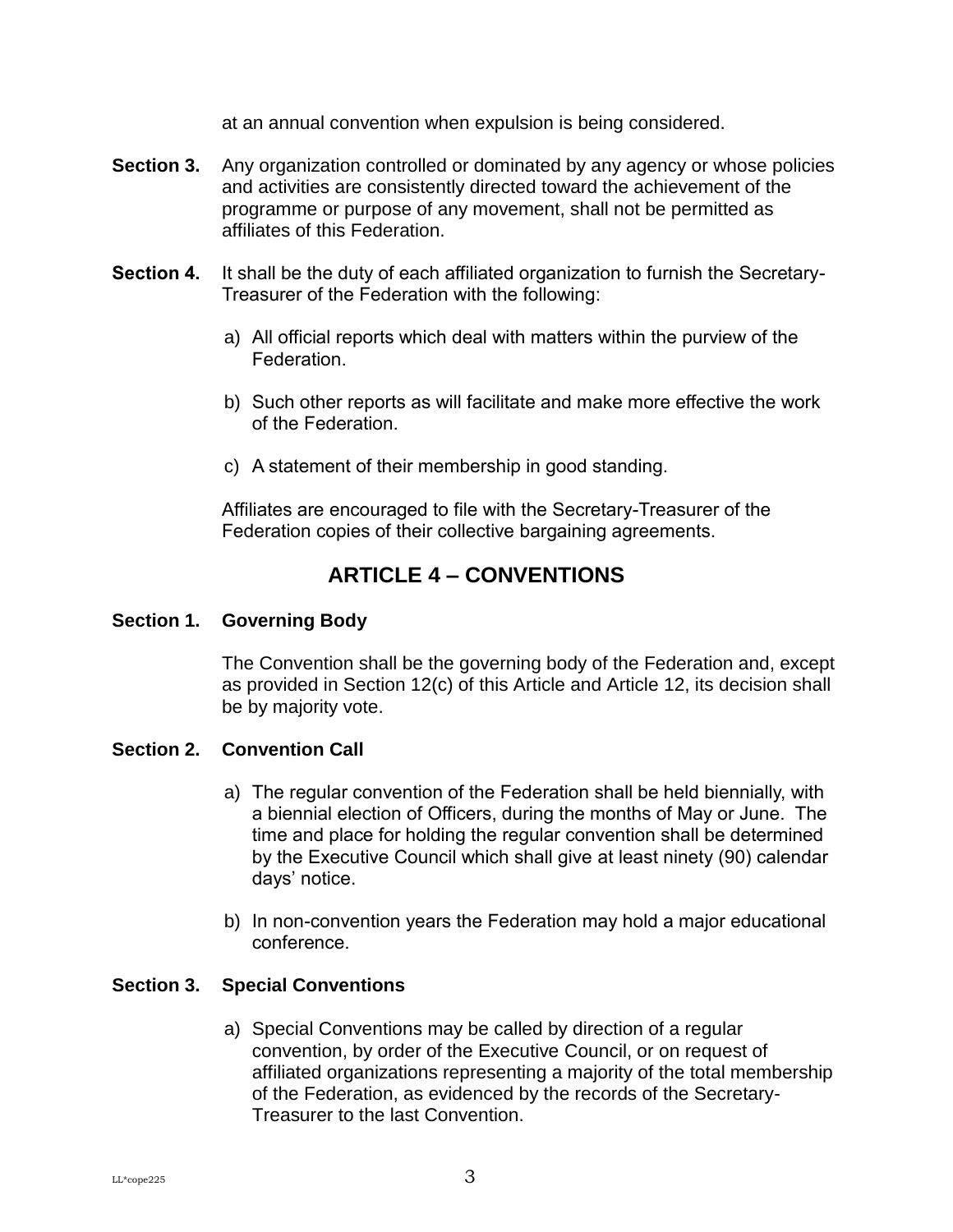at an annual convention when expulsion is being considered.

- <span id="page-6-0"></span>**Section 3.** Any organization controlled or dominated by any agency or whose policies and activities are consistently directed toward the achievement of the programme or purpose of any movement, shall not be permitted as affiliates of this Federation.
- <span id="page-6-1"></span>**Section 4.** It shall be the duty of each affiliated organization to furnish the Secretary-Treasurer of the Federation with the following:
	- a) All official reports which deal with matters within the purview of the **Federation**
	- b) Such other reports as will facilitate and make more effective the work of the Federation.
	- c) A statement of their membership in good standing.

Affiliates are encouraged to file with the Secretary-Treasurer of the Federation copies of their collective bargaining agreements.

## **ARTICLE 4 – CONVENTIONS**

#### <span id="page-6-3"></span><span id="page-6-2"></span>**Section 1. Governing Body**

The Convention shall be the governing body of the Federation and, except as provided in Section 12(c) of this Article and Article 12, its decision shall be by majority vote.

#### <span id="page-6-4"></span>**Section 2. Convention Call**

- a) The regular convention of the Federation shall be held biennially, with a biennial election of Officers, during the months of May or June. The time and place for holding the regular convention shall be determined by the Executive Council which shall give at least ninety (90) calendar days' notice.
- b) In non-convention years the Federation may hold a major educational conference.

#### <span id="page-6-5"></span>**Section 3. Special Conventions**

a) Special Conventions may be called by direction of a regular convention, by order of the Executive Council, or on request of affiliated organizations representing a majority of the total membership of the Federation, as evidenced by the records of the Secretary-Treasurer to the last Convention.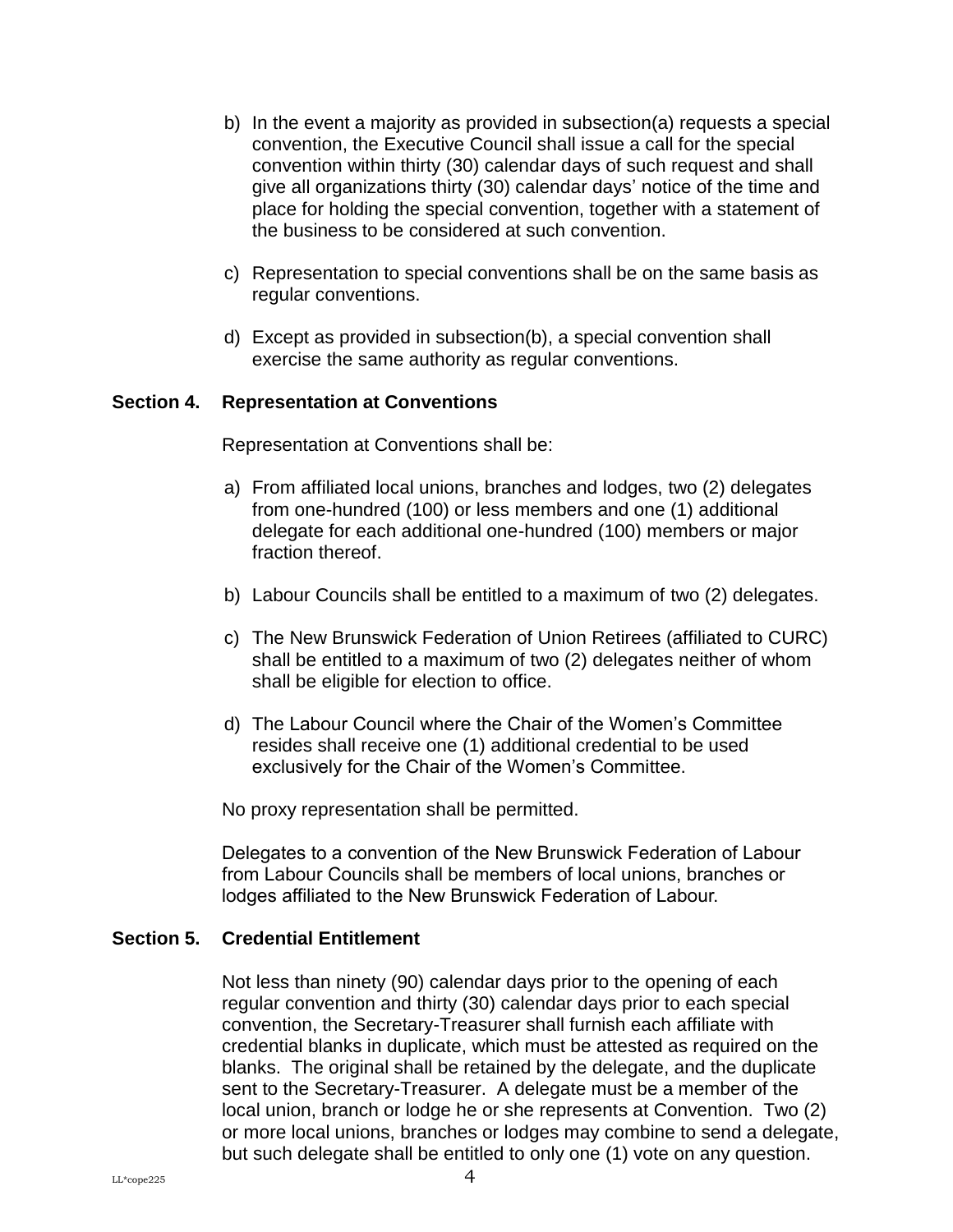- b) In the event a majority as provided in subsection(a) requests a special convention, the Executive Council shall issue a call for the special convention within thirty (30) calendar days of such request and shall give all organizations thirty (30) calendar days' notice of the time and place for holding the special convention, together with a statement of the business to be considered at such convention.
- c) Representation to special conventions shall be on the same basis as regular conventions.
- d) Except as provided in subsection(b), a special convention shall exercise the same authority as regular conventions.

#### <span id="page-7-0"></span>**Section 4. Representation at Conventions**

Representation at Conventions shall be:

- a) From affiliated local unions, branches and lodges, two (2) delegates from one-hundred (100) or less members and one (1) additional delegate for each additional one-hundred (100) members or major fraction thereof.
- b) Labour Councils shall be entitled to a maximum of two (2) delegates.
- c) The New Brunswick Federation of Union Retirees (affiliated to CURC) shall be entitled to a maximum of two (2) delegates neither of whom shall be eligible for election to office.
- d) The Labour Council where the Chair of the Women's Committee resides shall receive one (1) additional credential to be used exclusively for the Chair of the Women's Committee.

No proxy representation shall be permitted.

Delegates to a convention of the New Brunswick Federation of Labour from Labour Councils shall be members of local unions, branches or lodges affiliated to the New Brunswick Federation of Labour.

#### <span id="page-7-1"></span>**Section 5. Credential Entitlement**

Not less than ninety (90) calendar days prior to the opening of each regular convention and thirty (30) calendar days prior to each special convention, the Secretary-Treasurer shall furnish each affiliate with credential blanks in duplicate, which must be attested as required on the blanks. The original shall be retained by the delegate, and the duplicate sent to the Secretary-Treasurer. A delegate must be a member of the local union, branch or lodge he or she represents at Convention. Two (2) or more local unions, branches or lodges may combine to send a delegate, but such delegate shall be entitled to only one (1) vote on any question.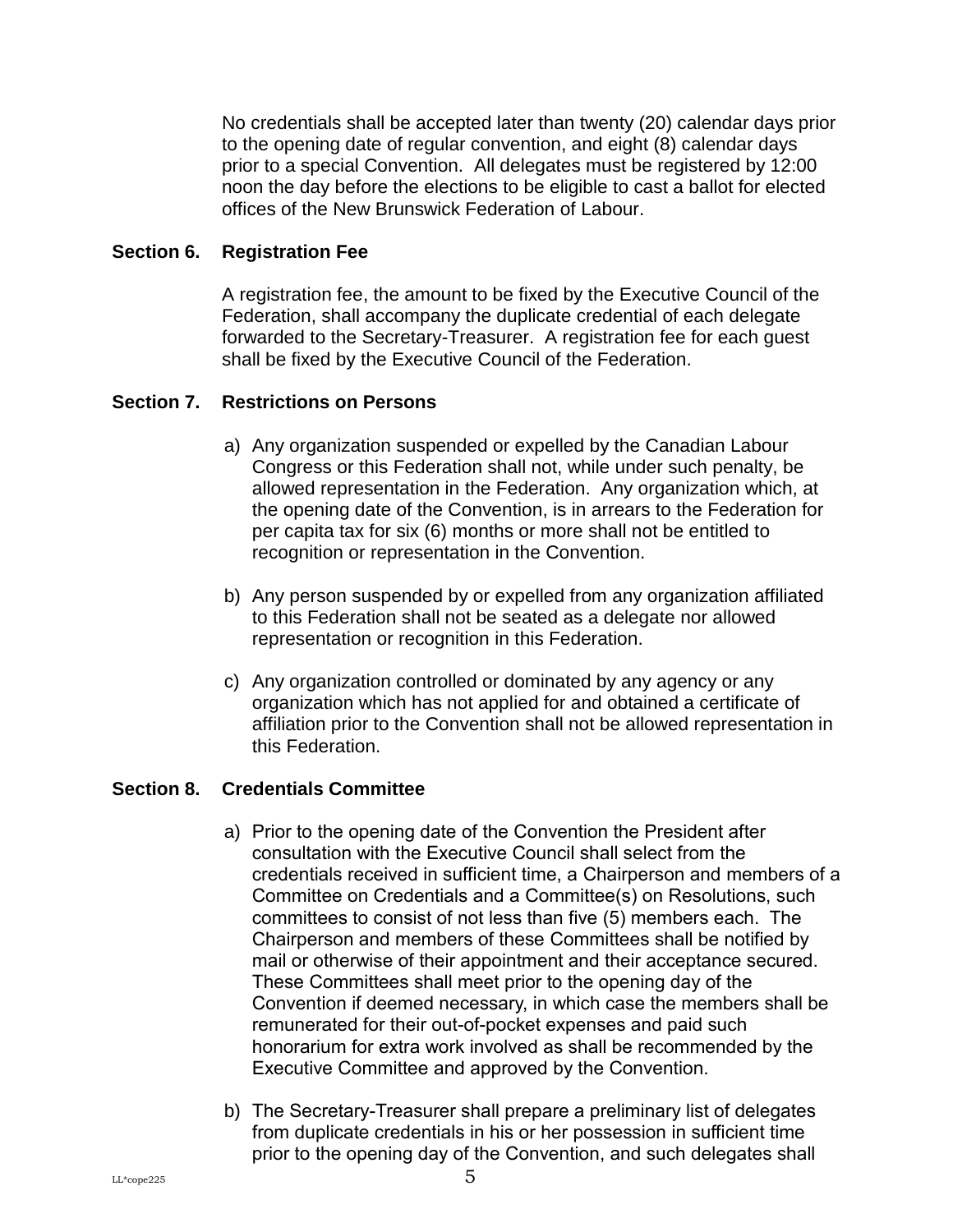No credentials shall be accepted later than twenty (20) calendar days prior to the opening date of regular convention, and eight (8) calendar days prior to a special Convention. All delegates must be registered by 12:00 noon the day before the elections to be eligible to cast a ballot for elected offices of the New Brunswick Federation of Labour.

#### <span id="page-8-0"></span>**Section 6. Registration Fee**

A registration fee, the amount to be fixed by the Executive Council of the Federation, shall accompany the duplicate credential of each delegate forwarded to the Secretary-Treasurer. A registration fee for each guest shall be fixed by the Executive Council of the Federation.

#### <span id="page-8-1"></span>**Section 7. Restrictions on Persons**

- a) Any organization suspended or expelled by the Canadian Labour Congress or this Federation shall not, while under such penalty, be allowed representation in the Federation. Any organization which, at the opening date of the Convention, is in arrears to the Federation for per capita tax for six (6) months or more shall not be entitled to recognition or representation in the Convention.
- b) Any person suspended by or expelled from any organization affiliated to this Federation shall not be seated as a delegate nor allowed representation or recognition in this Federation.
- c) Any organization controlled or dominated by any agency or any organization which has not applied for and obtained a certificate of affiliation prior to the Convention shall not be allowed representation in this Federation.

#### <span id="page-8-2"></span>**Section 8. Credentials Committee**

- a) Prior to the opening date of the Convention the President after consultation with the Executive Council shall select from the credentials received in sufficient time, a Chairperson and members of a Committee on Credentials and a Committee(s) on Resolutions, such committees to consist of not less than five (5) members each. The Chairperson and members of these Committees shall be notified by mail or otherwise of their appointment and their acceptance secured. These Committees shall meet prior to the opening day of the Convention if deemed necessary, in which case the members shall be remunerated for their out-of-pocket expenses and paid such honorarium for extra work involved as shall be recommended by the Executive Committee and approved by the Convention.
- b) The Secretary-Treasurer shall prepare a preliminary list of delegates from duplicate credentials in his or her possession in sufficient time prior to the opening day of the Convention, and such delegates shall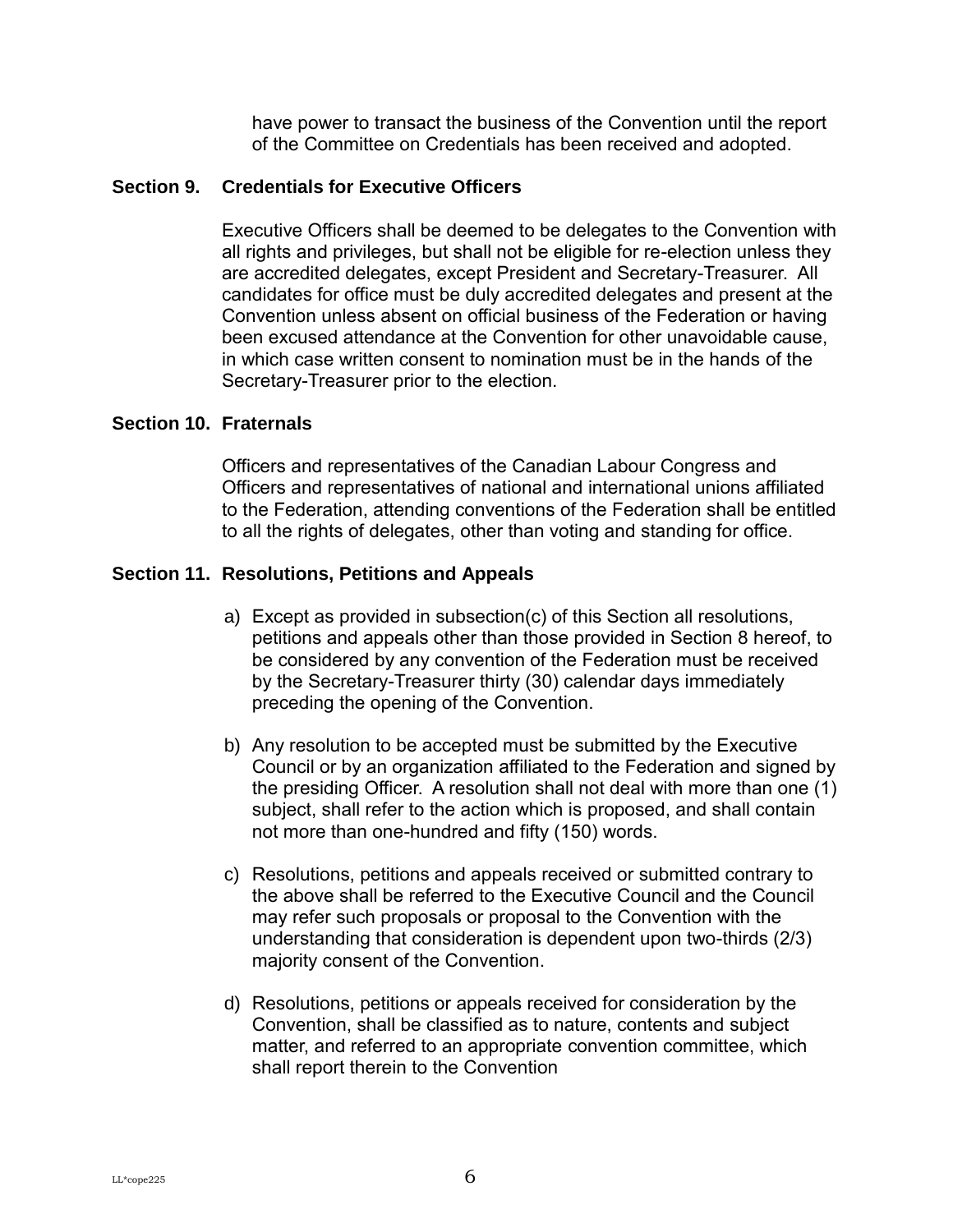have power to transact the business of the Convention until the report of the Committee on Credentials has been received and adopted.

#### <span id="page-9-0"></span>**Section 9. Credentials for Executive Officers**

Executive Officers shall be deemed to be delegates to the Convention with all rights and privileges, but shall not be eligible for re-election unless they are accredited delegates, except President and Secretary-Treasurer. All candidates for office must be duly accredited delegates and present at the Convention unless absent on official business of the Federation or having been excused attendance at the Convention for other unavoidable cause, in which case written consent to nomination must be in the hands of the Secretary-Treasurer prior to the election.

#### <span id="page-9-1"></span>**Section 10. Fraternals**

Officers and representatives of the Canadian Labour Congress and Officers and representatives of national and international unions affiliated to the Federation, attending conventions of the Federation shall be entitled to all the rights of delegates, other than voting and standing for office.

#### <span id="page-9-2"></span>**Section 11. Resolutions, Petitions and Appeals**

- a) Except as provided in subsection(c) of this Section all resolutions, petitions and appeals other than those provided in Section 8 hereof, to be considered by any convention of the Federation must be received by the Secretary-Treasurer thirty (30) calendar days immediately preceding the opening of the Convention.
- b) Any resolution to be accepted must be submitted by the Executive Council or by an organization affiliated to the Federation and signed by the presiding Officer. A resolution shall not deal with more than one (1) subject, shall refer to the action which is proposed, and shall contain not more than one-hundred and fifty (150) words.
- c) Resolutions, petitions and appeals received or submitted contrary to the above shall be referred to the Executive Council and the Council may refer such proposals or proposal to the Convention with the understanding that consideration is dependent upon two-thirds (2/3) majority consent of the Convention.
- d) Resolutions, petitions or appeals received for consideration by the Convention, shall be classified as to nature, contents and subject matter, and referred to an appropriate convention committee, which shall report therein to the Convention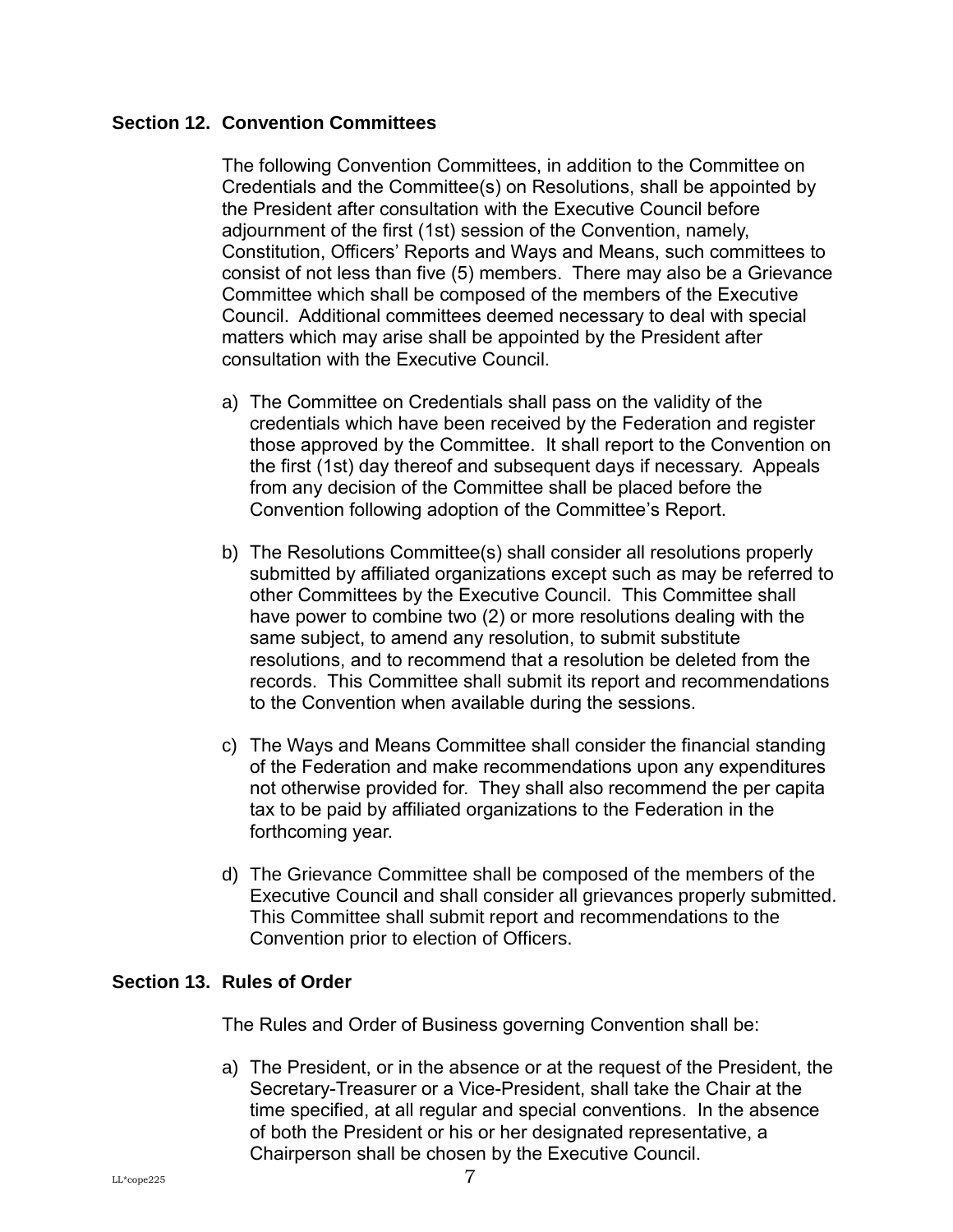#### <span id="page-10-0"></span>**Section 12. Convention Committees**

The following Convention Committees, in addition to the Committee on Credentials and the Committee(s) on Resolutions, shall be appointed by the President after consultation with the Executive Council before adjournment of the first (1st) session of the Convention, namely, Constitution, Officers' Reports and Ways and Means, such committees to consist of not less than five (5) members. There may also be a Grievance Committee which shall be composed of the members of the Executive Council. Additional committees deemed necessary to deal with special matters which may arise shall be appointed by the President after consultation with the Executive Council.

- a) The Committee on Credentials shall pass on the validity of the credentials which have been received by the Federation and register those approved by the Committee. It shall report to the Convention on the first (1st) day thereof and subsequent days if necessary. Appeals from any decision of the Committee shall be placed before the Convention following adoption of the Committee's Report.
- b) The Resolutions Committee(s) shall consider all resolutions properly submitted by affiliated organizations except such as may be referred to other Committees by the Executive Council. This Committee shall have power to combine two (2) or more resolutions dealing with the same subject, to amend any resolution, to submit substitute resolutions, and to recommend that a resolution be deleted from the records. This Committee shall submit its report and recommendations to the Convention when available during the sessions.
- c) The Ways and Means Committee shall consider the financial standing of the Federation and make recommendations upon any expenditures not otherwise provided for. They shall also recommend the per capita tax to be paid by affiliated organizations to the Federation in the forthcoming year.
- d) The Grievance Committee shall be composed of the members of the Executive Council and shall consider all grievances properly submitted. This Committee shall submit report and recommendations to the Convention prior to election of Officers.

#### <span id="page-10-1"></span>**Section 13. Rules of Order**

The Rules and Order of Business governing Convention shall be:

a) The President, or in the absence or at the request of the President, the Secretary-Treasurer or a Vice-President, shall take the Chair at the time specified, at all regular and special conventions. In the absence of both the President or his or her designated representative, a Chairperson shall be chosen by the Executive Council.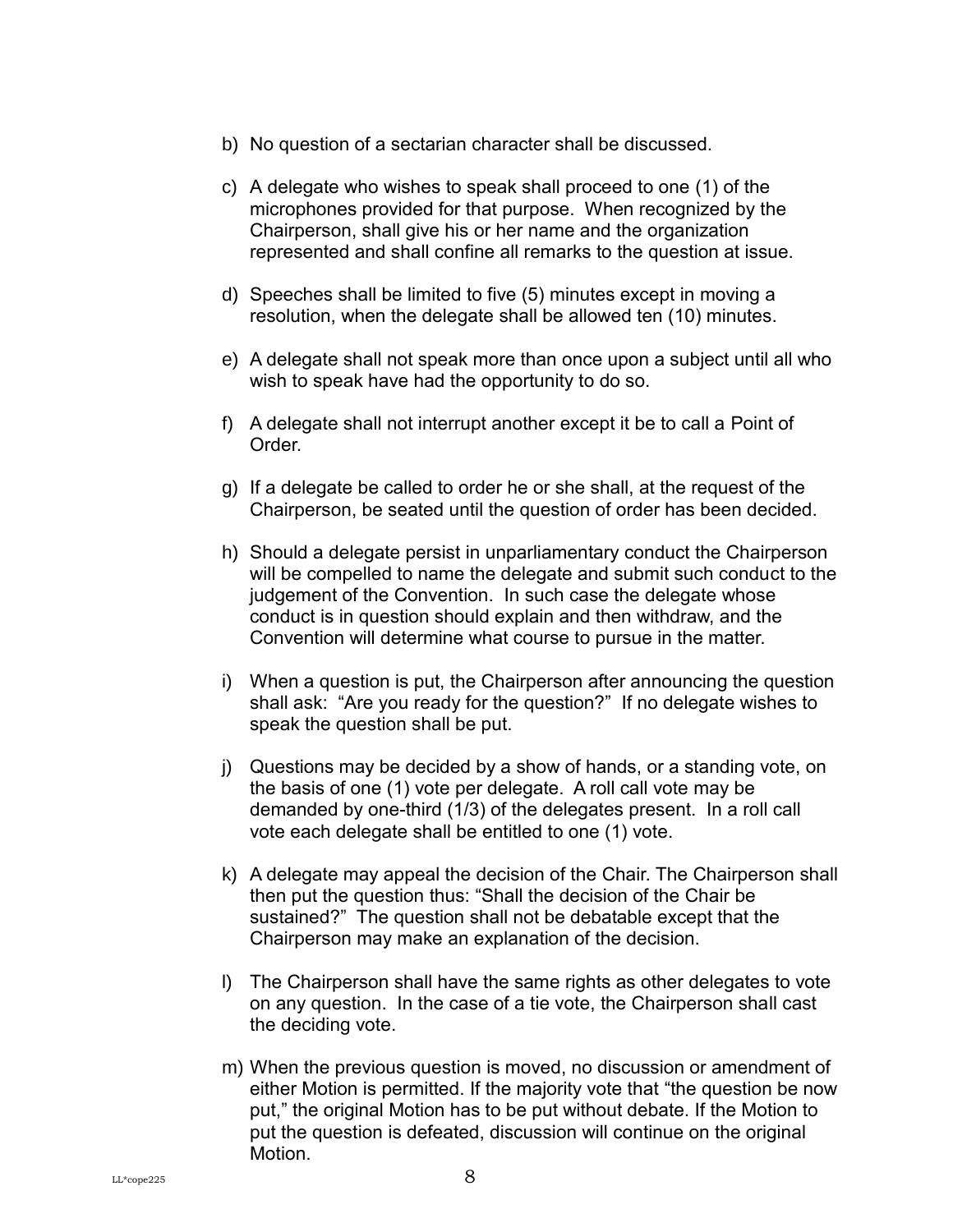- b) No question of a sectarian character shall be discussed.
- c) A delegate who wishes to speak shall proceed to one (1) of the microphones provided for that purpose. When recognized by the Chairperson, shall give his or her name and the organization represented and shall confine all remarks to the question at issue.
- d) Speeches shall be limited to five (5) minutes except in moving a resolution, when the delegate shall be allowed ten (10) minutes.
- e) A delegate shall not speak more than once upon a subject until all who wish to speak have had the opportunity to do so.
- f) A delegate shall not interrupt another except it be to call a Point of Order.
- g) If a delegate be called to order he or she shall, at the request of the Chairperson, be seated until the question of order has been decided.
- h) Should a delegate persist in unparliamentary conduct the Chairperson will be compelled to name the delegate and submit such conduct to the judgement of the Convention. In such case the delegate whose conduct is in question should explain and then withdraw, and the Convention will determine what course to pursue in the matter.
- i) When a question is put, the Chairperson after announcing the question shall ask: "Are you ready for the question?" If no delegate wishes to speak the question shall be put.
- j) Questions may be decided by a show of hands, or a standing vote, on the basis of one (1) vote per delegate. A roll call vote may be demanded by one-third (1/3) of the delegates present. In a roll call vote each delegate shall be entitled to one (1) vote.
- k) A delegate may appeal the decision of the Chair. The Chairperson shall then put the question thus: "Shall the decision of the Chair be sustained?" The question shall not be debatable except that the Chairperson may make an explanation of the decision.
- l) The Chairperson shall have the same rights as other delegates to vote on any question. In the case of a tie vote, the Chairperson shall cast the deciding vote.
- m) When the previous question is moved, no discussion or amendment of either Motion is permitted. If the majority vote that "the question be now put," the original Motion has to be put without debate. If the Motion to put the question is defeated, discussion will continue on the original Motion.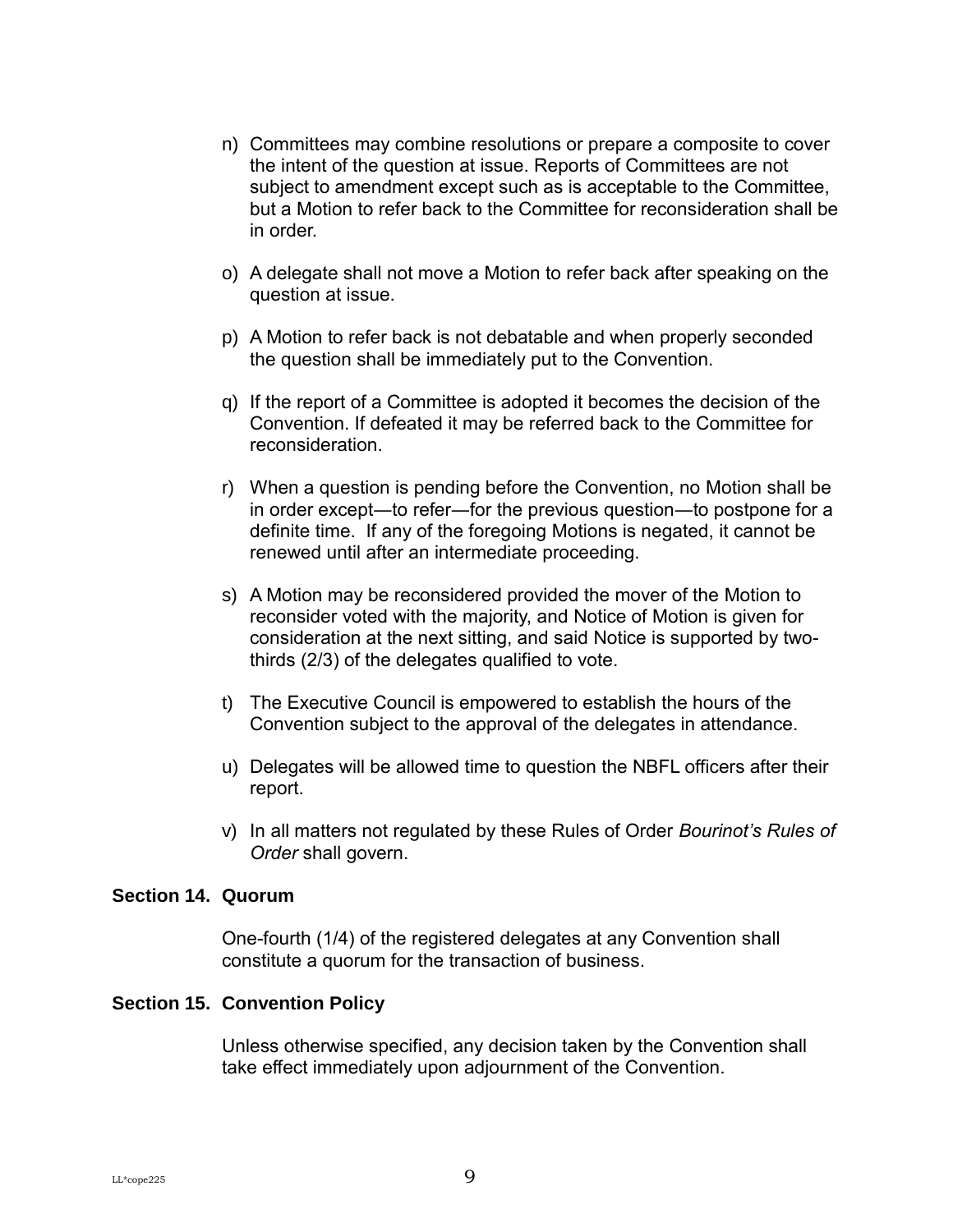- n) Committees may combine resolutions or prepare a composite to cover the intent of the question at issue. Reports of Committees are not subject to amendment except such as is acceptable to the Committee, but a Motion to refer back to the Committee for reconsideration shall be in order.
- o) A delegate shall not move a Motion to refer back after speaking on the question at issue.
- p) A Motion to refer back is not debatable and when properly seconded the question shall be immediately put to the Convention.
- q) If the report of a Committee is adopted it becomes the decision of the Convention. If defeated it may be referred back to the Committee for reconsideration.
- r) When a question is pending before the Convention, no Motion shall be in order except—to refer—for the previous question—to postpone for a definite time. If any of the foregoing Motions is negated, it cannot be renewed until after an intermediate proceeding.
- s) A Motion may be reconsidered provided the mover of the Motion to reconsider voted with the majority, and Notice of Motion is given for consideration at the next sitting, and said Notice is supported by twothirds (2/3) of the delegates qualified to vote.
- t) The Executive Council is empowered to establish the hours of the Convention subject to the approval of the delegates in attendance.
- u) Delegates will be allowed time to question the NBFL officers after their report.
- v) In all matters not regulated by these Rules of Order *Bourinot's Rules of Order* shall govern.

#### <span id="page-12-0"></span>**Section 14. Quorum**

One-fourth (1/4) of the registered delegates at any Convention shall constitute a quorum for the transaction of business.

#### <span id="page-12-1"></span>**Section 15. Convention Policy**

Unless otherwise specified, any decision taken by the Convention shall take effect immediately upon adjournment of the Convention.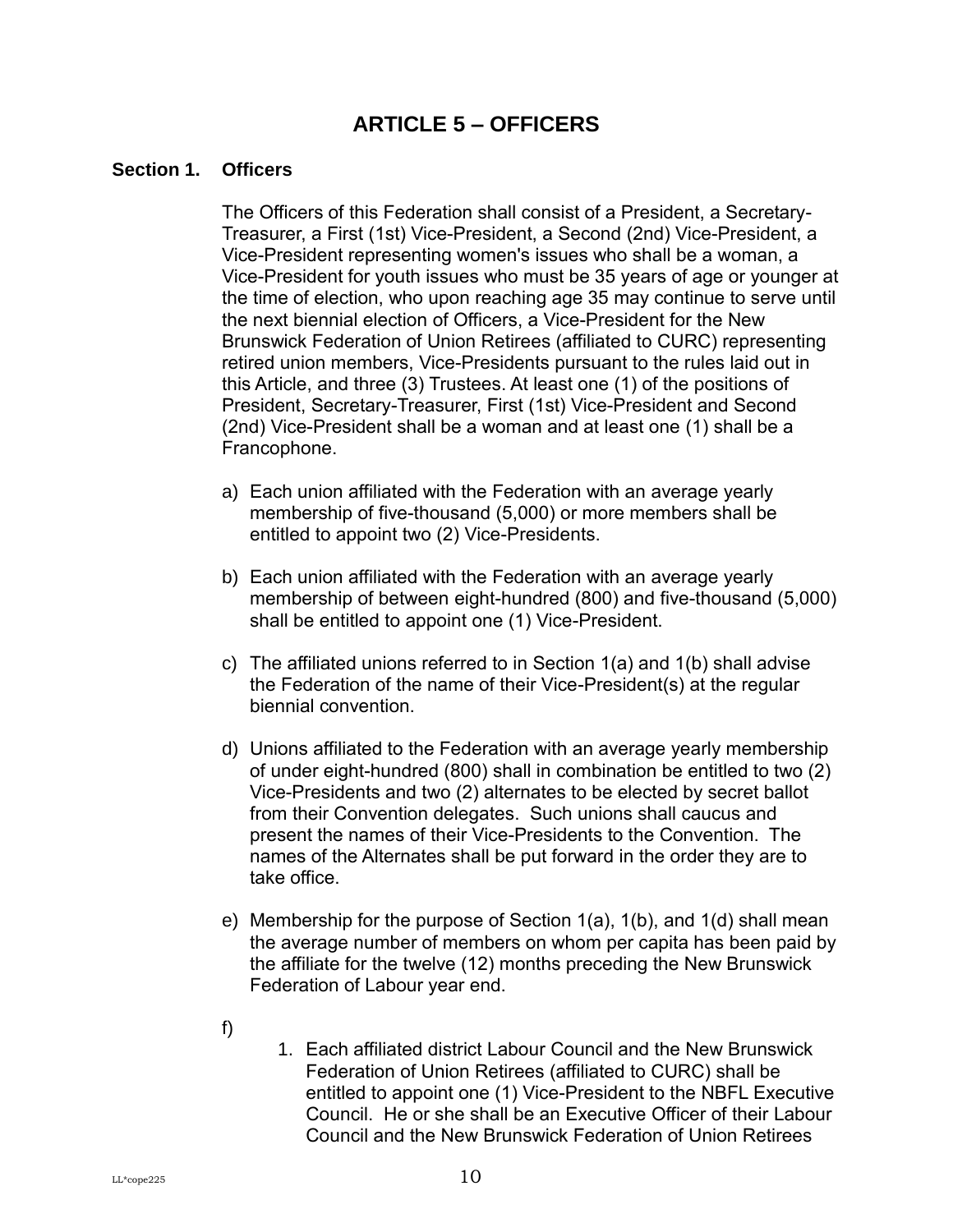## **ARTICLE 5 – OFFICERS**

#### <span id="page-13-1"></span><span id="page-13-0"></span>**Section 1. Officers**

The Officers of this Federation shall consist of a President, a Secretary-Treasurer, a First (1st) Vice-President, a Second (2nd) Vice-President, a Vice-President representing women's issues who shall be a woman, a Vice-President for youth issues who must be 35 years of age or younger at the time of election, who upon reaching age 35 may continue to serve until the next biennial election of Officers, a Vice-President for the New Brunswick Federation of Union Retirees (affiliated to CURC) representing retired union members, Vice-Presidents pursuant to the rules laid out in this Article, and three (3) Trustees. At least one (1) of the positions of President, Secretary-Treasurer, First (1st) Vice-President and Second (2nd) Vice-President shall be a woman and at least one (1) shall be a Francophone.

- a) Each union affiliated with the Federation with an average yearly membership of five-thousand (5,000) or more members shall be entitled to appoint two (2) Vice-Presidents.
- b) Each union affiliated with the Federation with an average yearly membership of between eight-hundred (800) and five-thousand (5,000) shall be entitled to appoint one (1) Vice-President.
- c) The affiliated unions referred to in Section 1(a) and 1(b) shall advise the Federation of the name of their Vice-President(s) at the regular biennial convention.
- d) Unions affiliated to the Federation with an average yearly membership of under eight-hundred (800) shall in combination be entitled to two (2) Vice-Presidents and two (2) alternates to be elected by secret ballot from their Convention delegates. Such unions shall caucus and present the names of their Vice-Presidents to the Convention. The names of the Alternates shall be put forward in the order they are to take office.
- e) Membership for the purpose of Section 1(a), 1(b), and 1(d) shall mean the average number of members on whom per capita has been paid by the affiliate for the twelve (12) months preceding the New Brunswick Federation of Labour year end.
- f)
- 1. Each affiliated district Labour Council and the New Brunswick Federation of Union Retirees (affiliated to CURC) shall be entitled to appoint one (1) Vice-President to the NBFL Executive Council. He or she shall be an Executive Officer of their Labour Council and the New Brunswick Federation of Union Retirees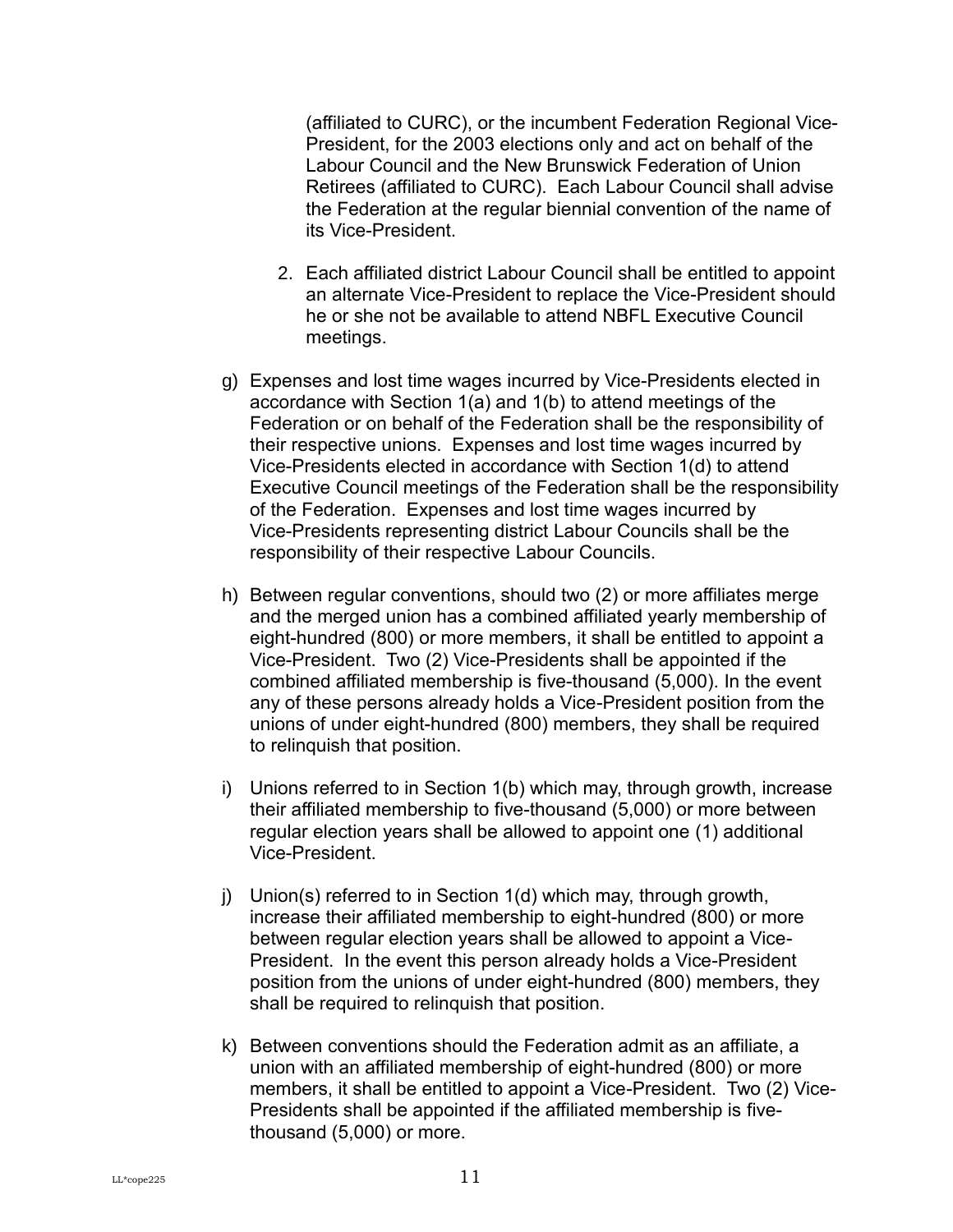(affiliated to CURC), or the incumbent Federation Regional Vice-President, for the 2003 elections only and act on behalf of the Labour Council and the New Brunswick Federation of Union Retirees (affiliated to CURC). Each Labour Council shall advise the Federation at the regular biennial convention of the name of its Vice-President.

- 2. Each affiliated district Labour Council shall be entitled to appoint an alternate Vice-President to replace the Vice-President should he or she not be available to attend NBFL Executive Council meetings.
- g) Expenses and lost time wages incurred by Vice-Presidents elected in accordance with Section 1(a) and 1(b) to attend meetings of the Federation or on behalf of the Federation shall be the responsibility of their respective unions. Expenses and lost time wages incurred by Vice-Presidents elected in accordance with Section 1(d) to attend Executive Council meetings of the Federation shall be the responsibility of the Federation. Expenses and lost time wages incurred by Vice-Presidents representing district Labour Councils shall be the responsibility of their respective Labour Councils.
- h) Between regular conventions, should two (2) or more affiliates merge and the merged union has a combined affiliated yearly membership of eight-hundred (800) or more members, it shall be entitled to appoint a Vice-President. Two (2) Vice-Presidents shall be appointed if the combined affiliated membership is five-thousand (5,000). In the event any of these persons already holds a Vice-President position from the unions of under eight-hundred (800) members, they shall be required to relinquish that position.
- i) Unions referred to in Section 1(b) which may, through growth, increase their affiliated membership to five-thousand (5,000) or more between regular election years shall be allowed to appoint one (1) additional Vice-President.
- j) Union(s) referred to in Section 1(d) which may, through growth, increase their affiliated membership to eight-hundred (800) or more between regular election years shall be allowed to appoint a Vice-President. In the event this person already holds a Vice-President position from the unions of under eight-hundred (800) members, they shall be required to relinquish that position.
- k) Between conventions should the Federation admit as an affiliate, a union with an affiliated membership of eight-hundred (800) or more members, it shall be entitled to appoint a Vice-President. Two (2) Vice-Presidents shall be appointed if the affiliated membership is fivethousand (5,000) or more.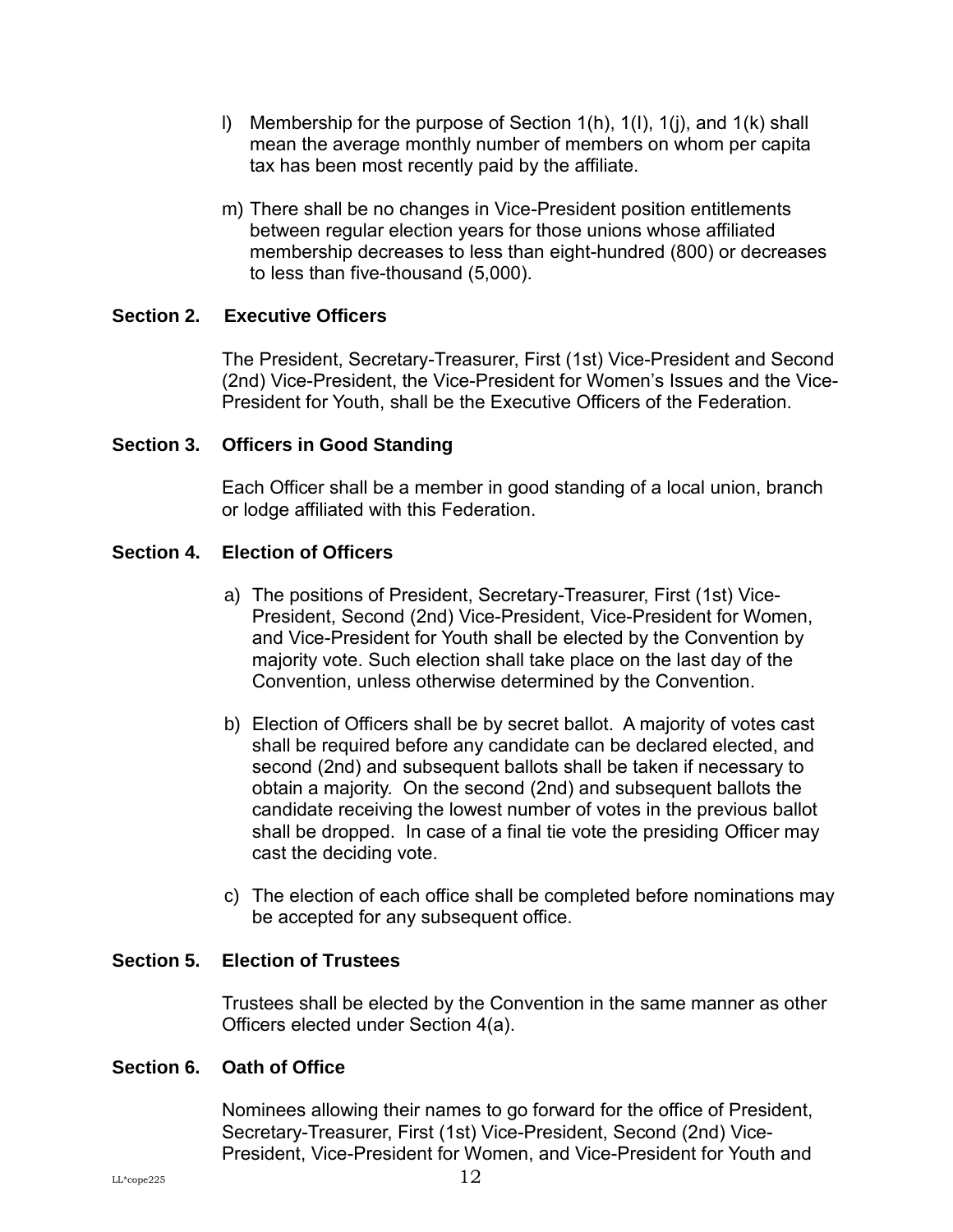- l) Membership for the purpose of Section 1(h), 1(I), 1(j), and 1(k) shall mean the average monthly number of members on whom per capita tax has been most recently paid by the affiliate.
- m) There shall be no changes in Vice-President position entitlements between regular election years for those unions whose affiliated membership decreases to less than eight-hundred (800) or decreases to less than five-thousand (5,000).

#### <span id="page-15-0"></span>**Section 2. Executive Officers**

The President, Secretary-Treasurer, First (1st) Vice-President and Second (2nd) Vice-President, the Vice-President for Women's Issues and the Vice-President for Youth, shall be the Executive Officers of the Federation.

#### <span id="page-15-1"></span>**Section 3. Officers in Good Standing**

Each Officer shall be a member in good standing of a local union, branch or lodge affiliated with this Federation.

#### <span id="page-15-2"></span>**Section 4. Election of Officers**

- a) The positions of President, Secretary-Treasurer, First (1st) Vice-President, Second (2nd) Vice-President, Vice-President for Women, and Vice-President for Youth shall be elected by the Convention by majority vote. Such election shall take place on the last day of the Convention, unless otherwise determined by the Convention.
- b) Election of Officers shall be by secret ballot. A majority of votes cast shall be required before any candidate can be declared elected, and second (2nd) and subsequent ballots shall be taken if necessary to obtain a majority. On the second (2nd) and subsequent ballots the candidate receiving the lowest number of votes in the previous ballot shall be dropped. In case of a final tie vote the presiding Officer may cast the deciding vote.
- c) The election of each office shall be completed before nominations may be accepted for any subsequent office.

#### <span id="page-15-3"></span>**Section 5. Election of Trustees**

Trustees shall be elected by the Convention in the same manner as other Officers elected under Section 4(a).

#### <span id="page-15-4"></span>**Section 6. Oath of Office**

Nominees allowing their names to go forward for the office of President, Secretary-Treasurer, First (1st) Vice-President, Second (2nd) Vice-President, Vice-President for Women, and Vice-President for Youth and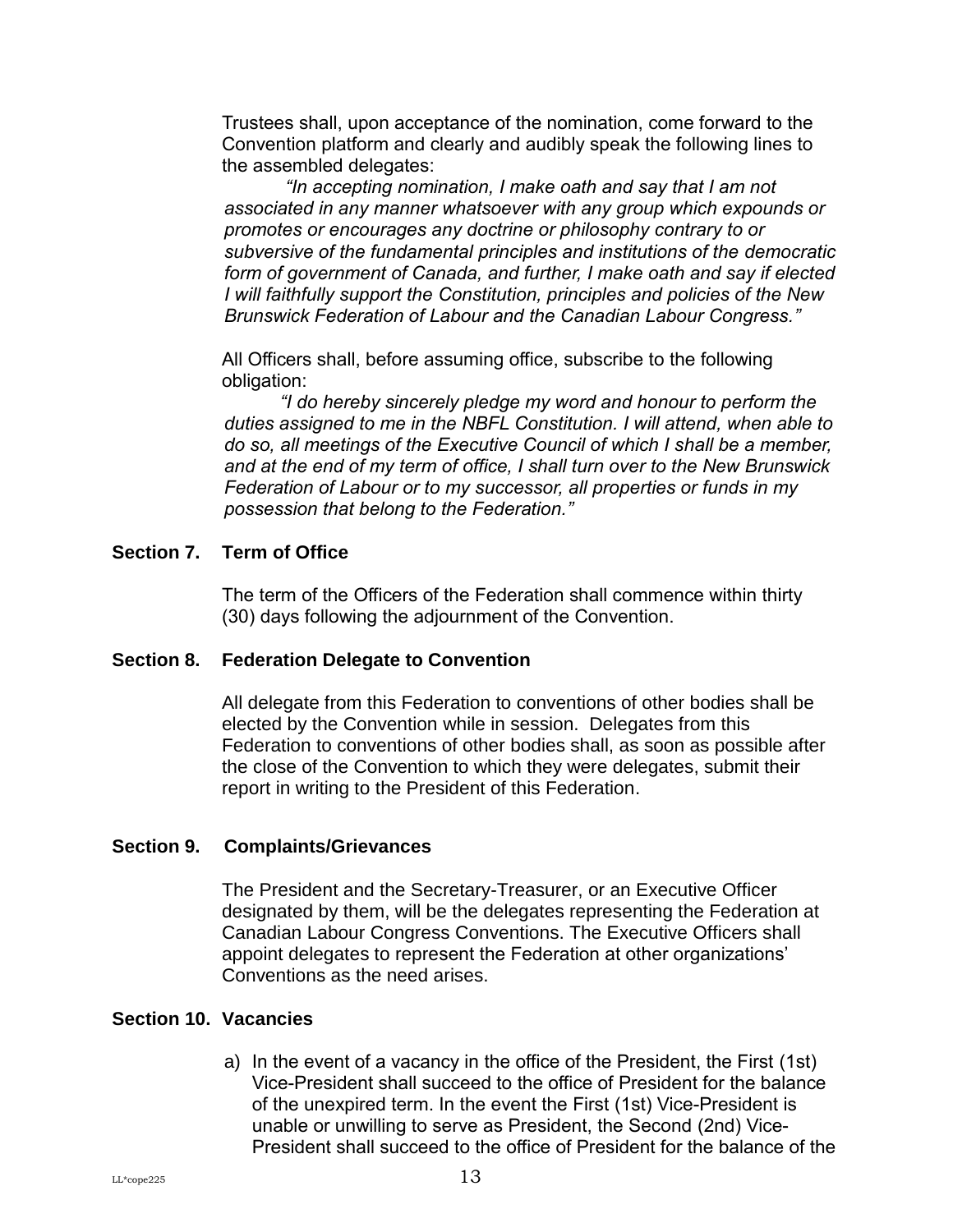Trustees shall, upon acceptance of the nomination, come forward to the Convention platform and clearly and audibly speak the following lines to the assembled delegates:

*"In accepting nomination, I make oath and say that I am not associated in any manner whatsoever with any group which expounds or promotes or encourages any doctrine or philosophy contrary to or subversive of the fundamental principles and institutions of the democratic form of government of Canada, and further, I make oath and say if elected I will faithfully support the Constitution, principles and policies of the New Brunswick Federation of Labour and the Canadian Labour Congress."*

All Officers shall, before assuming office, subscribe to the following obligation:

*"I do hereby sincerely pledge my word and honour to perform the duties assigned to me in the NBFL Constitution. I will attend, when able to do so, all meetings of the Executive Council of which I shall be a member, and at the end of my term of office, I shall turn over to the New Brunswick Federation of Labour or to my successor, all properties or funds in my possession that belong to the Federation."*

#### <span id="page-16-0"></span>**Section 7. Term of Office**

The term of the Officers of the Federation shall commence within thirty (30) days following the adjournment of the Convention.

#### <span id="page-16-1"></span>**Section 8. Federation Delegate to Convention**

All delegate from this Federation to conventions of other bodies shall be elected by the Convention while in session. Delegates from this Federation to conventions of other bodies shall, as soon as possible after the close of the Convention to which they were delegates, submit their report in writing to the President of this Federation.

#### <span id="page-16-2"></span>**Section 9. Complaints/Grievances**

The President and the Secretary-Treasurer, or an Executive Officer designated by them, will be the delegates representing the Federation at Canadian Labour Congress Conventions. The Executive Officers shall appoint delegates to represent the Federation at other organizations' Conventions as the need arises.

#### <span id="page-16-3"></span>**Section 10. Vacancies**

a) In the event of a vacancy in the office of the President, the First (1st) Vice-President shall succeed to the office of President for the balance of the unexpired term. In the event the First (1st) Vice-President is unable or unwilling to serve as President, the Second (2nd) Vice-President shall succeed to the office of President for the balance of the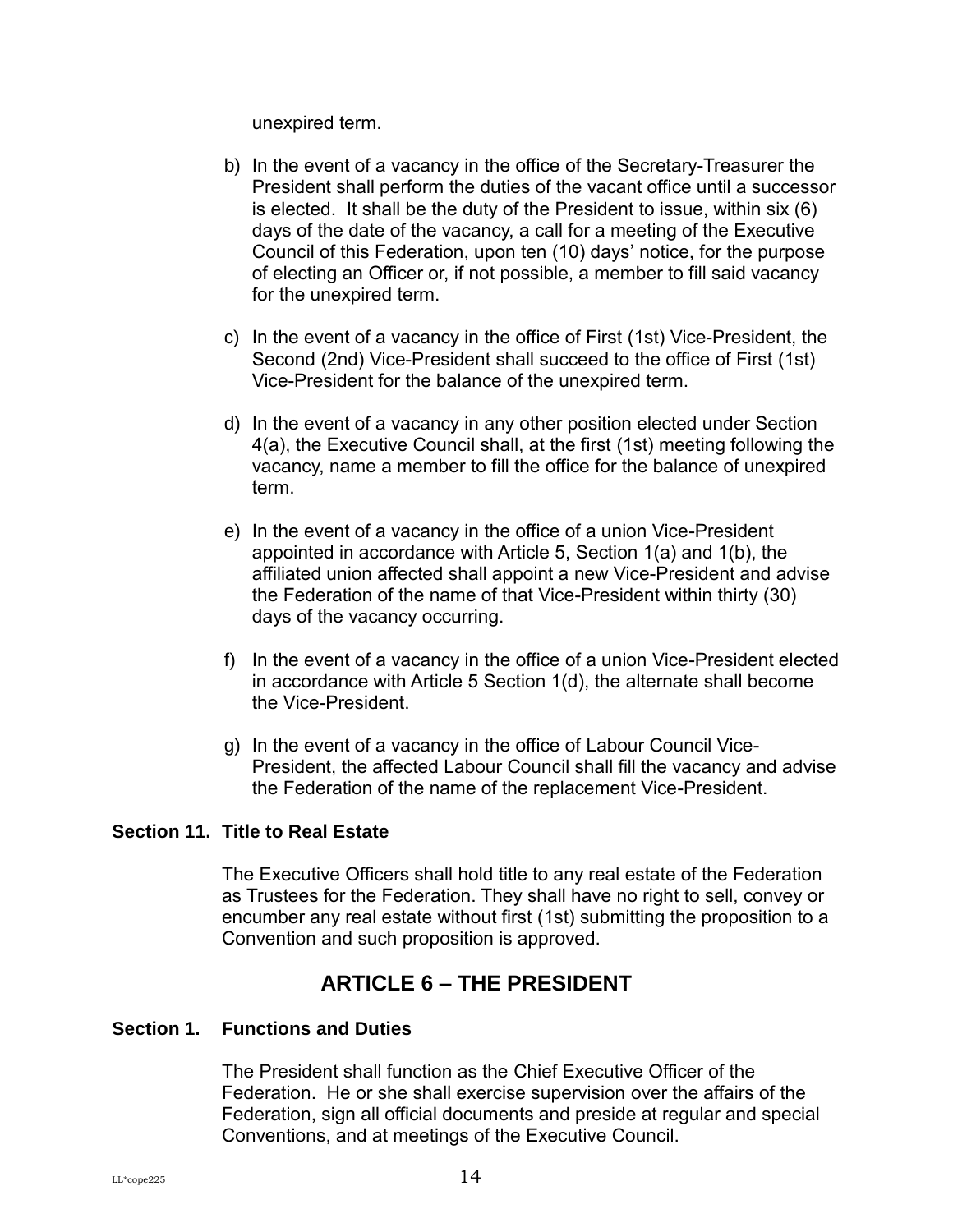unexpired term.

- b) In the event of a vacancy in the office of the Secretary-Treasurer the President shall perform the duties of the vacant office until a successor is elected. It shall be the duty of the President to issue, within six (6) days of the date of the vacancy, a call for a meeting of the Executive Council of this Federation, upon ten (10) days' notice, for the purpose of electing an Officer or, if not possible, a member to fill said vacancy for the unexpired term.
- c) In the event of a vacancy in the office of First (1st) Vice-President, the Second (2nd) Vice-President shall succeed to the office of First (1st) Vice-President for the balance of the unexpired term.
- d) In the event of a vacancy in any other position elected under Section 4(a), the Executive Council shall, at the first (1st) meeting following the vacancy, name a member to fill the office for the balance of unexpired term.
- e) In the event of a vacancy in the office of a union Vice-President appointed in accordance with Article 5, Section 1(a) and 1(b), the affiliated union affected shall appoint a new Vice-President and advise the Federation of the name of that Vice-President within thirty (30) days of the vacancy occurring.
- f) In the event of a vacancy in the office of a union Vice-President elected in accordance with Article 5 Section 1(d), the alternate shall become the Vice-President.
- g) In the event of a vacancy in the office of Labour Council Vice-President, the affected Labour Council shall fill the vacancy and advise the Federation of the name of the replacement Vice-President.

#### <span id="page-17-0"></span>**Section 11. Title to Real Estate**

The Executive Officers shall hold title to any real estate of the Federation as Trustees for the Federation. They shall have no right to sell, convey or encumber any real estate without first (1st) submitting the proposition to a Convention and such proposition is approved.

## **ARTICLE 6 – THE PRESIDENT**

#### <span id="page-17-2"></span><span id="page-17-1"></span>**Section 1. Functions and Duties**

The President shall function as the Chief Executive Officer of the Federation. He or she shall exercise supervision over the affairs of the Federation, sign all official documents and preside at regular and special Conventions, and at meetings of the Executive Council.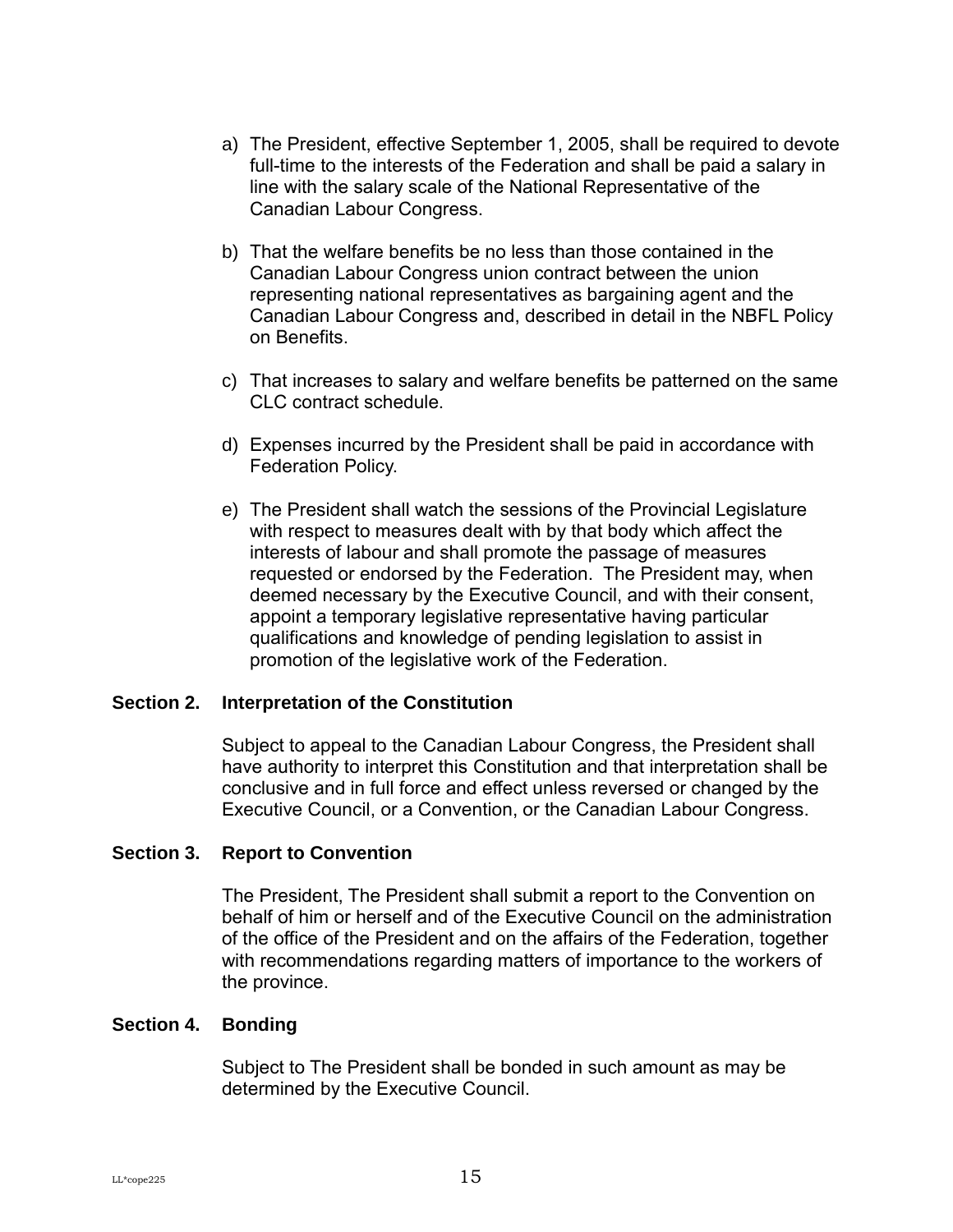- a) The President, effective September 1, 2005, shall be required to devote full-time to the interests of the Federation and shall be paid a salary in line with the salary scale of the National Representative of the Canadian Labour Congress.
- b) That the welfare benefits be no less than those contained in the Canadian Labour Congress union contract between the union representing national representatives as bargaining agent and the Canadian Labour Congress and, described in detail in the NBFL Policy on Benefits.
- c) That increases to salary and welfare benefits be patterned on the same CLC contract schedule.
- d) Expenses incurred by the President shall be paid in accordance with Federation Policy.
- e) The President shall watch the sessions of the Provincial Legislature with respect to measures dealt with by that body which affect the interests of labour and shall promote the passage of measures requested or endorsed by the Federation. The President may, when deemed necessary by the Executive Council, and with their consent, appoint a temporary legislative representative having particular qualifications and knowledge of pending legislation to assist in promotion of the legislative work of the Federation.

#### <span id="page-18-0"></span>**Section 2. Interpretation of the Constitution**

Subject to appeal to the Canadian Labour Congress, the President shall have authority to interpret this Constitution and that interpretation shall be conclusive and in full force and effect unless reversed or changed by the Executive Council, or a Convention, or the Canadian Labour Congress.

#### <span id="page-18-1"></span>**Section 3. Report to Convention**

The President, The President shall submit a report to the Convention on behalf of him or herself and of the Executive Council on the administration of the office of the President and on the affairs of the Federation, together with recommendations regarding matters of importance to the workers of the province.

#### <span id="page-18-2"></span>**Section 4. Bonding**

Subject to The President shall be bonded in such amount as may be determined by the Executive Council.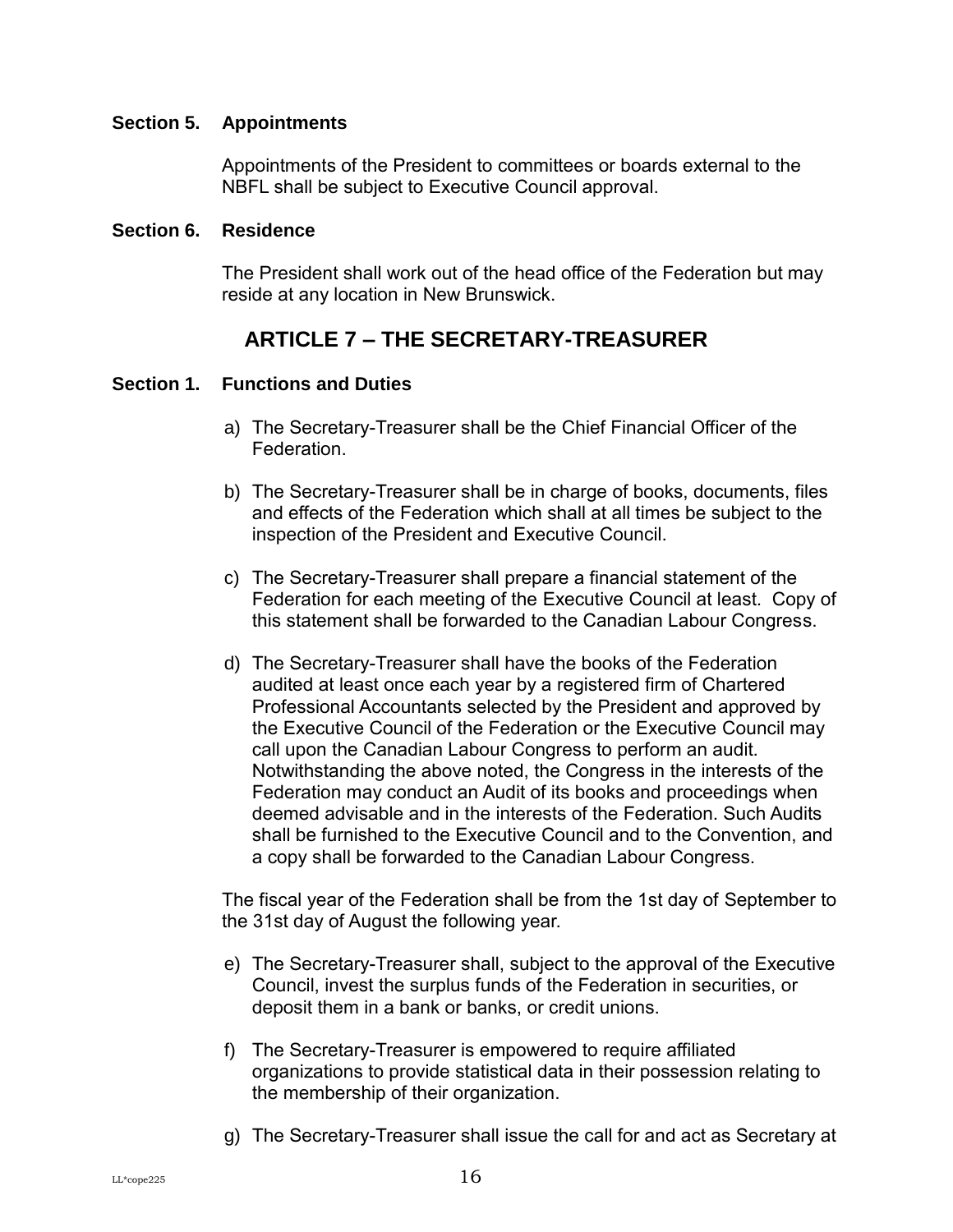#### <span id="page-19-0"></span>**Section 5. Appointments**

Appointments of the President to committees or boards external to the NBFL shall be subject to Executive Council approval.

#### <span id="page-19-1"></span>**Section 6. Residence**

The President shall work out of the head office of the Federation but may reside at any location in New Brunswick.

## **ARTICLE 7 – THE SECRETARY-TREASURER**

#### <span id="page-19-3"></span><span id="page-19-2"></span>**Section 1. Functions and Duties**

- a) The Secretary-Treasurer shall be the Chief Financial Officer of the Federation.
- b) The Secretary-Treasurer shall be in charge of books, documents, files and effects of the Federation which shall at all times be subject to the inspection of the President and Executive Council.
- c) The Secretary-Treasurer shall prepare a financial statement of the Federation for each meeting of the Executive Council at least. Copy of this statement shall be forwarded to the Canadian Labour Congress.
- d) The Secretary-Treasurer shall have the books of the Federation audited at least once each year by a registered firm of Chartered Professional Accountants selected by the President and approved by the Executive Council of the Federation or the Executive Council may call upon the Canadian Labour Congress to perform an audit. Notwithstanding the above noted, the Congress in the interests of the Federation may conduct an Audit of its books and proceedings when deemed advisable and in the interests of the Federation. Such Audits shall be furnished to the Executive Council and to the Convention, and a copy shall be forwarded to the Canadian Labour Congress.

The fiscal year of the Federation shall be from the 1st day of September to the 31st day of August the following year.

- e) The Secretary-Treasurer shall, subject to the approval of the Executive Council, invest the surplus funds of the Federation in securities, or deposit them in a bank or banks, or credit unions.
- f) The Secretary-Treasurer is empowered to require affiliated organizations to provide statistical data in their possession relating to the membership of their organization.
- g) The Secretary-Treasurer shall issue the call for and act as Secretary at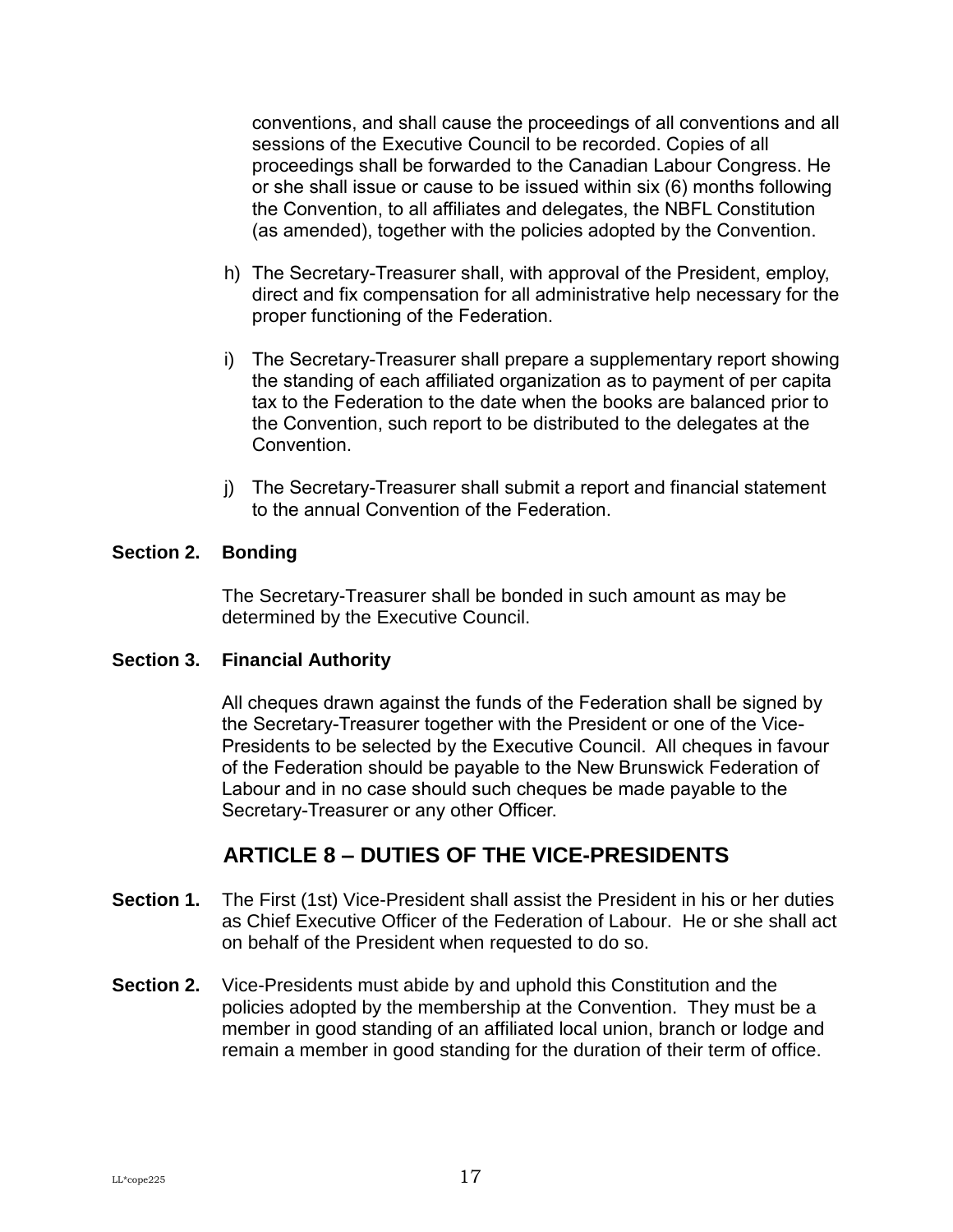conventions, and shall cause the proceedings of all conventions and all sessions of the Executive Council to be recorded. Copies of all proceedings shall be forwarded to the Canadian Labour Congress. He or she shall issue or cause to be issued within six (6) months following the Convention, to all affiliates and delegates, the NBFL Constitution (as amended), together with the policies adopted by the Convention.

- h) The Secretary-Treasurer shall, with approval of the President, employ, direct and fix compensation for all administrative help necessary for the proper functioning of the Federation.
- i) The Secretary-Treasurer shall prepare a supplementary report showing the standing of each affiliated organization as to payment of per capita tax to the Federation to the date when the books are balanced prior to the Convention, such report to be distributed to the delegates at the Convention.
- j) The Secretary-Treasurer shall submit a report and financial statement to the annual Convention of the Federation.

#### <span id="page-20-0"></span>**Section 2. Bonding**

The Secretary-Treasurer shall be bonded in such amount as may be determined by the Executive Council.

#### <span id="page-20-1"></span>**Section 3. Financial Authority**

All cheques drawn against the funds of the Federation shall be signed by the Secretary-Treasurer together with the President or one of the Vice-Presidents to be selected by the Executive Council. All cheques in favour of the Federation should be payable to the New Brunswick Federation of Labour and in no case should such cheques be made payable to the Secretary-Treasurer or any other Officer.

## **ARTICLE 8 – DUTIES OF THE VICE-PRESIDENTS**

- <span id="page-20-3"></span><span id="page-20-2"></span>**Section 1.** The First (1st) Vice-President shall assist the President in his or her duties as Chief Executive Officer of the Federation of Labour. He or she shall act on behalf of the President when requested to do so.
- <span id="page-20-4"></span>**Section 2.** Vice-Presidents must abide by and uphold this Constitution and the policies adopted by the membership at the Convention. They must be a member in good standing of an affiliated local union, branch or lodge and remain a member in good standing for the duration of their term of office.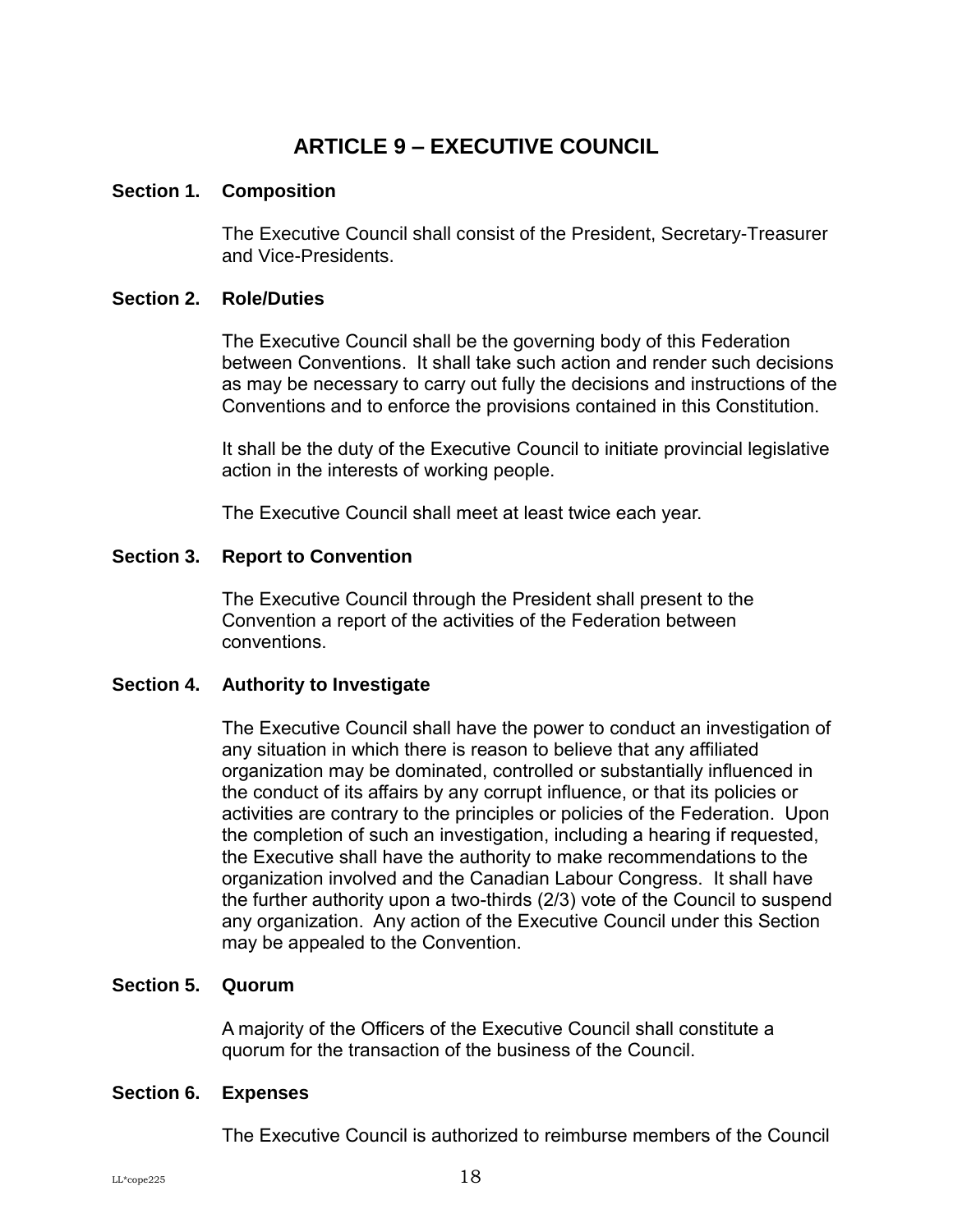## **ARTICLE 9 – EXECUTIVE COUNCIL**

#### <span id="page-21-1"></span><span id="page-21-0"></span>**Section 1. Composition**

The Executive Council shall consist of the President, Secretary-Treasurer and Vice-Presidents.

#### <span id="page-21-2"></span>**Section 2. Role/Duties**

The Executive Council shall be the governing body of this Federation between Conventions. It shall take such action and render such decisions as may be necessary to carry out fully the decisions and instructions of the Conventions and to enforce the provisions contained in this Constitution.

It shall be the duty of the Executive Council to initiate provincial legislative action in the interests of working people.

The Executive Council shall meet at least twice each year.

#### <span id="page-21-3"></span>**Section 3. Report to Convention**

The Executive Council through the President shall present to the Convention a report of the activities of the Federation between conventions.

#### <span id="page-21-4"></span>**Section 4. Authority to Investigate**

The Executive Council shall have the power to conduct an investigation of any situation in which there is reason to believe that any affiliated organization may be dominated, controlled or substantially influenced in the conduct of its affairs by any corrupt influence, or that its policies or activities are contrary to the principles or policies of the Federation. Upon the completion of such an investigation, including a hearing if requested, the Executive shall have the authority to make recommendations to the organization involved and the Canadian Labour Congress. It shall have the further authority upon a two-thirds (2/3) vote of the Council to suspend any organization. Any action of the Executive Council under this Section may be appealed to the Convention.

#### <span id="page-21-5"></span>**Section 5. Quorum**

A majority of the Officers of the Executive Council shall constitute a quorum for the transaction of the business of the Council.

#### <span id="page-21-6"></span>**Section 6. Expenses**

The Executive Council is authorized to reimburse members of the Council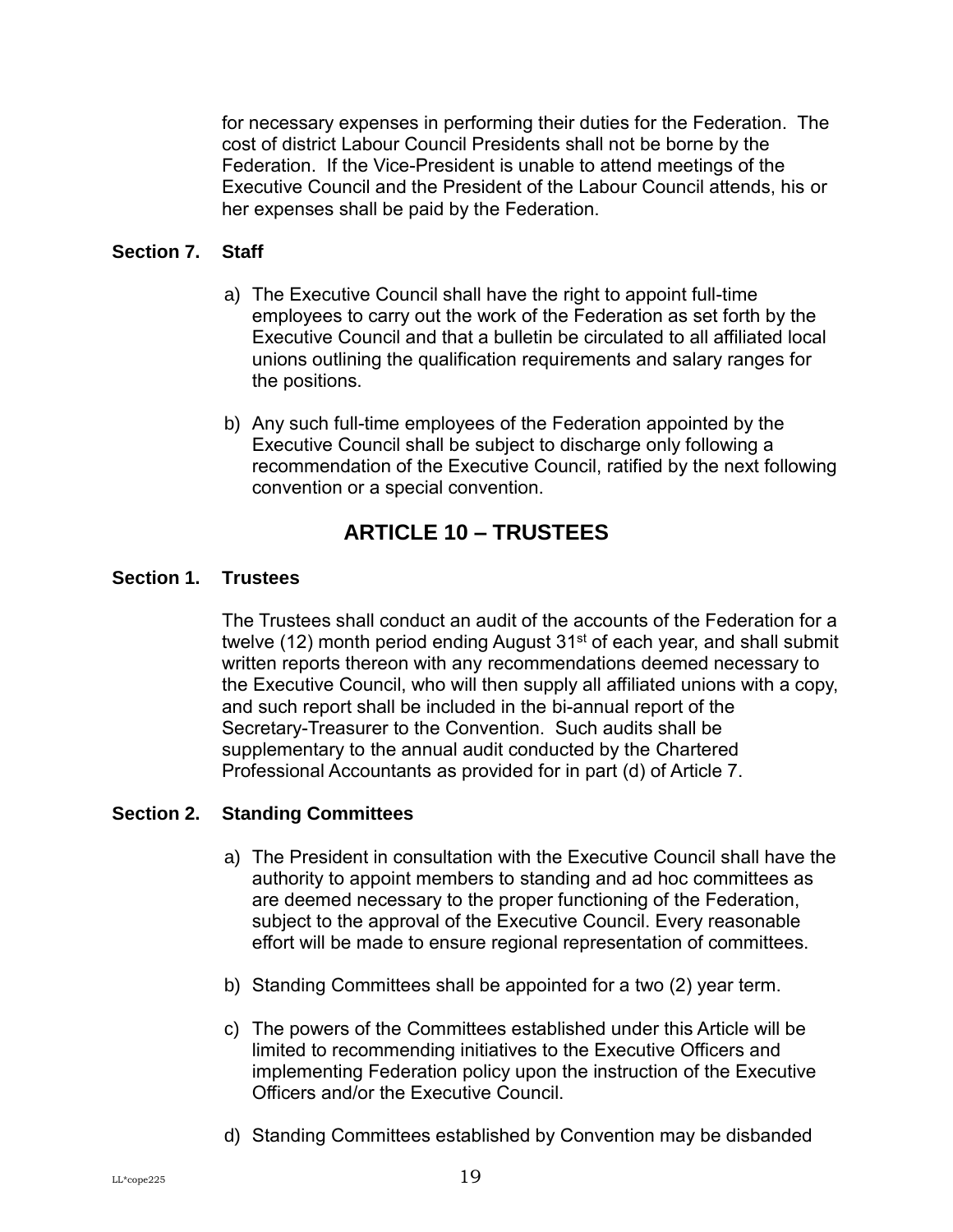for necessary expenses in performing their duties for the Federation. The cost of district Labour Council Presidents shall not be borne by the Federation. If the Vice-President is unable to attend meetings of the Executive Council and the President of the Labour Council attends, his or her expenses shall be paid by the Federation.

#### <span id="page-22-0"></span>**Section 7. Staff**

- a) The Executive Council shall have the right to appoint full-time employees to carry out the work of the Federation as set forth by the Executive Council and that a bulletin be circulated to all affiliated local unions outlining the qualification requirements and salary ranges for the positions.
- b) Any such full-time employees of the Federation appointed by the Executive Council shall be subject to discharge only following a recommendation of the Executive Council, ratified by the next following convention or a special convention.

## **ARTICLE 10 – TRUSTEES**

#### <span id="page-22-2"></span><span id="page-22-1"></span>**Section 1. Trustees**

The Trustees shall conduct an audit of the accounts of the Federation for a twelve (12) month period ending August  $31<sup>st</sup>$  of each year, and shall submit written reports thereon with any recommendations deemed necessary to the Executive Council, who will then supply all affiliated unions with a copy, and such report shall be included in the bi-annual report of the Secretary-Treasurer to the Convention. Such audits shall be supplementary to the annual audit conducted by the Chartered Professional Accountants as provided for in part (d) of Article 7.

#### <span id="page-22-3"></span>**Section 2. Standing Committees**

- a) The President in consultation with the Executive Council shall have the authority to appoint members to standing and ad hoc committees as are deemed necessary to the proper functioning of the Federation, subject to the approval of the Executive Council. Every reasonable effort will be made to ensure regional representation of committees.
- b) Standing Committees shall be appointed for a two (2) year term.
- c) The powers of the Committees established under this Article will be limited to recommending initiatives to the Executive Officers and implementing Federation policy upon the instruction of the Executive Officers and/or the Executive Council.
- d) Standing Committees established by Convention may be disbanded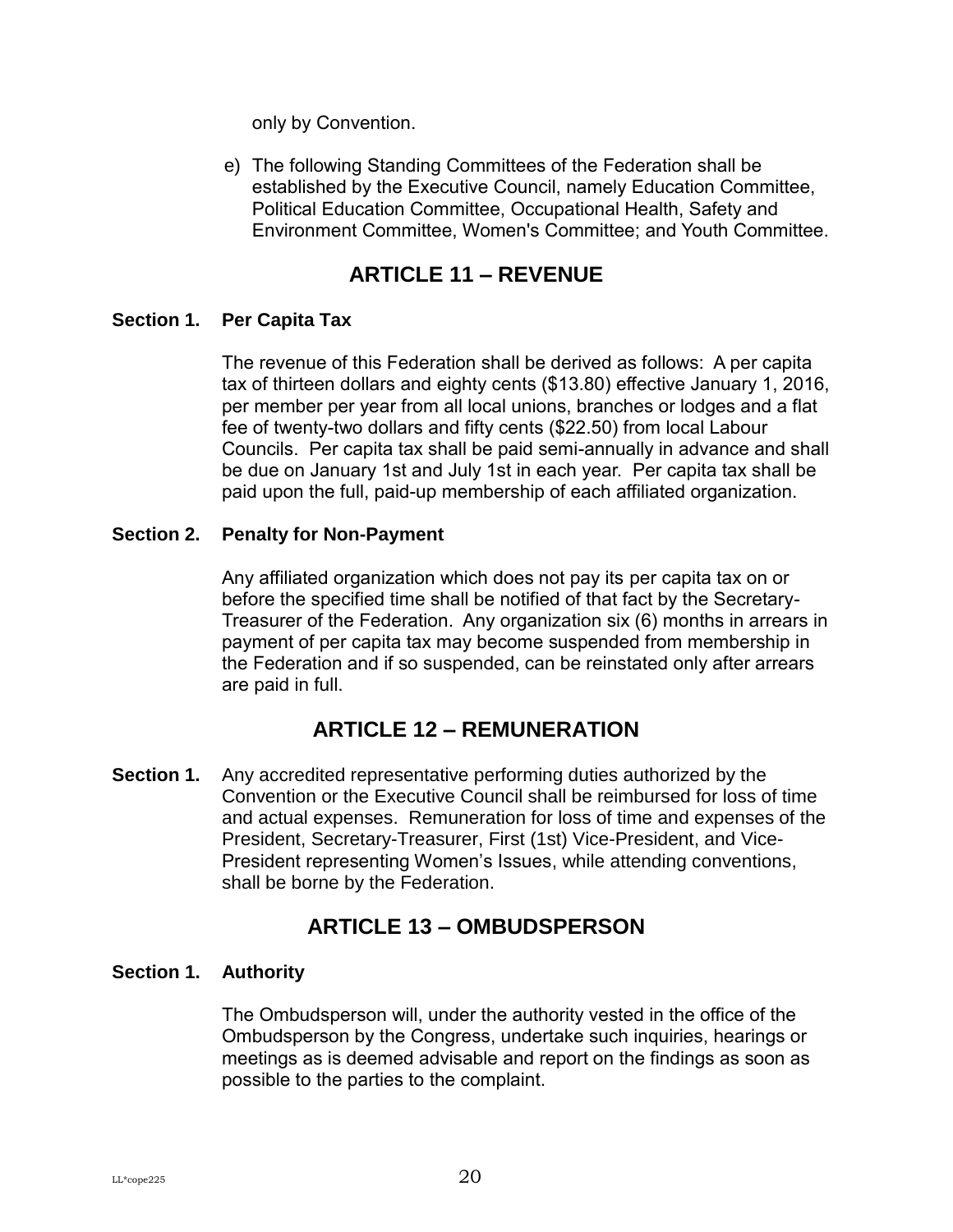only by Convention.

e) The following Standing Committees of the Federation shall be established by the Executive Council, namely Education Committee, Political Education Committee, Occupational Health, Safety and Environment Committee, Women's Committee; and Youth Committee.

## **ARTICLE 11 – REVENUE**

#### <span id="page-23-1"></span><span id="page-23-0"></span>**Section 1. Per Capita Tax**

The revenue of this Federation shall be derived as follows: A per capita tax of thirteen dollars and eighty cents (\$13.80) effective January 1, 2016, per member per year from all local unions, branches or lodges and a flat fee of twenty-two dollars and fifty cents (\$22.50) from local Labour Councils. Per capita tax shall be paid semi-annually in advance and shall be due on January 1st and July 1st in each year. Per capita tax shall be paid upon the full, paid-up membership of each affiliated organization.

#### <span id="page-23-2"></span>**Section 2. Penalty for Non-Payment**

Any affiliated organization which does not pay its per capita tax on or before the specified time shall be notified of that fact by the Secretary-Treasurer of the Federation. Any organization six (6) months in arrears in payment of per capita tax may become suspended from membership in the Federation and if so suspended, can be reinstated only after arrears are paid in full.

## **ARTICLE 12 – REMUNERATION**

<span id="page-23-4"></span><span id="page-23-3"></span>**Section 1.** Any accredited representative performing duties authorized by the Convention or the Executive Council shall be reimbursed for loss of time and actual expenses. Remuneration for loss of time and expenses of the President, Secretary-Treasurer, First (1st) Vice-President, and Vice-President representing Women's Issues, while attending conventions, shall be borne by the Federation.

## **ARTICLE 13 – OMBUDSPERSON**

#### <span id="page-23-6"></span><span id="page-23-5"></span>**Section 1. Authority**

The Ombudsperson will, under the authority vested in the office of the Ombudsperson by the Congress, undertake such inquiries, hearings or meetings as is deemed advisable and report on the findings as soon as possible to the parties to the complaint.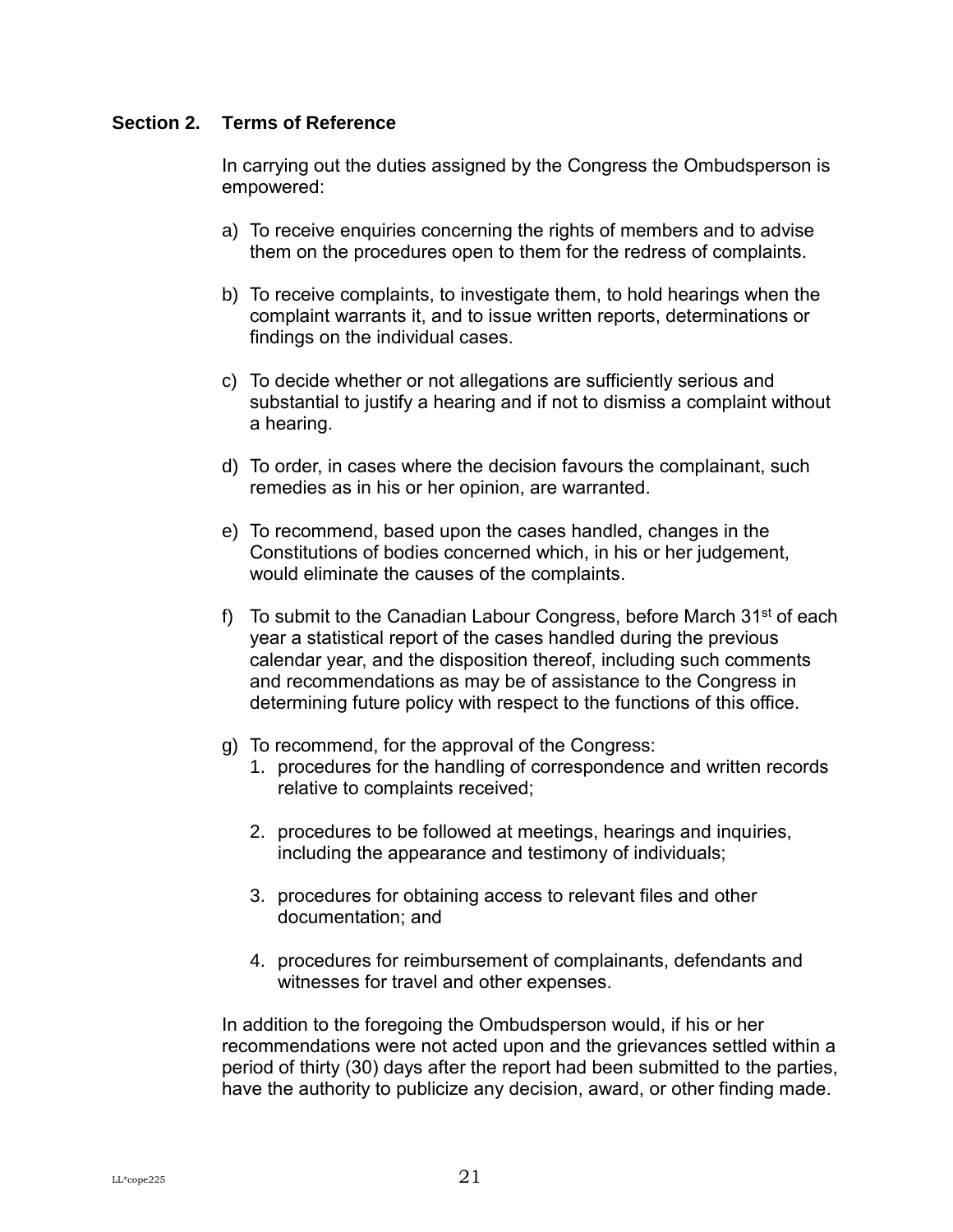#### <span id="page-24-0"></span>**Section 2. Terms of Reference**

In carrying out the duties assigned by the Congress the Ombudsperson is empowered:

- a) To receive enquiries concerning the rights of members and to advise them on the procedures open to them for the redress of complaints.
- b) To receive complaints, to investigate them, to hold hearings when the complaint warrants it, and to issue written reports, determinations or findings on the individual cases.
- c) To decide whether or not allegations are sufficiently serious and substantial to justify a hearing and if not to dismiss a complaint without a hearing.
- d) To order, in cases where the decision favours the complainant, such remedies as in his or her opinion, are warranted.
- e) To recommend, based upon the cases handled, changes in the Constitutions of bodies concerned which, in his or her judgement, would eliminate the causes of the complaints.
- f) To submit to the Canadian Labour Congress, before March  $31<sup>st</sup>$  of each year a statistical report of the cases handled during the previous calendar year, and the disposition thereof, including such comments and recommendations as may be of assistance to the Congress in determining future policy with respect to the functions of this office.
- g) To recommend, for the approval of the Congress:
	- 1. procedures for the handling of correspondence and written records relative to complaints received;
	- 2. procedures to be followed at meetings, hearings and inquiries, including the appearance and testimony of individuals;
	- 3. procedures for obtaining access to relevant files and other documentation; and
	- 4. procedures for reimbursement of complainants, defendants and witnesses for travel and other expenses.

In addition to the foregoing the Ombudsperson would, if his or her recommendations were not acted upon and the grievances settled within a period of thirty (30) days after the report had been submitted to the parties, have the authority to publicize any decision, award, or other finding made.